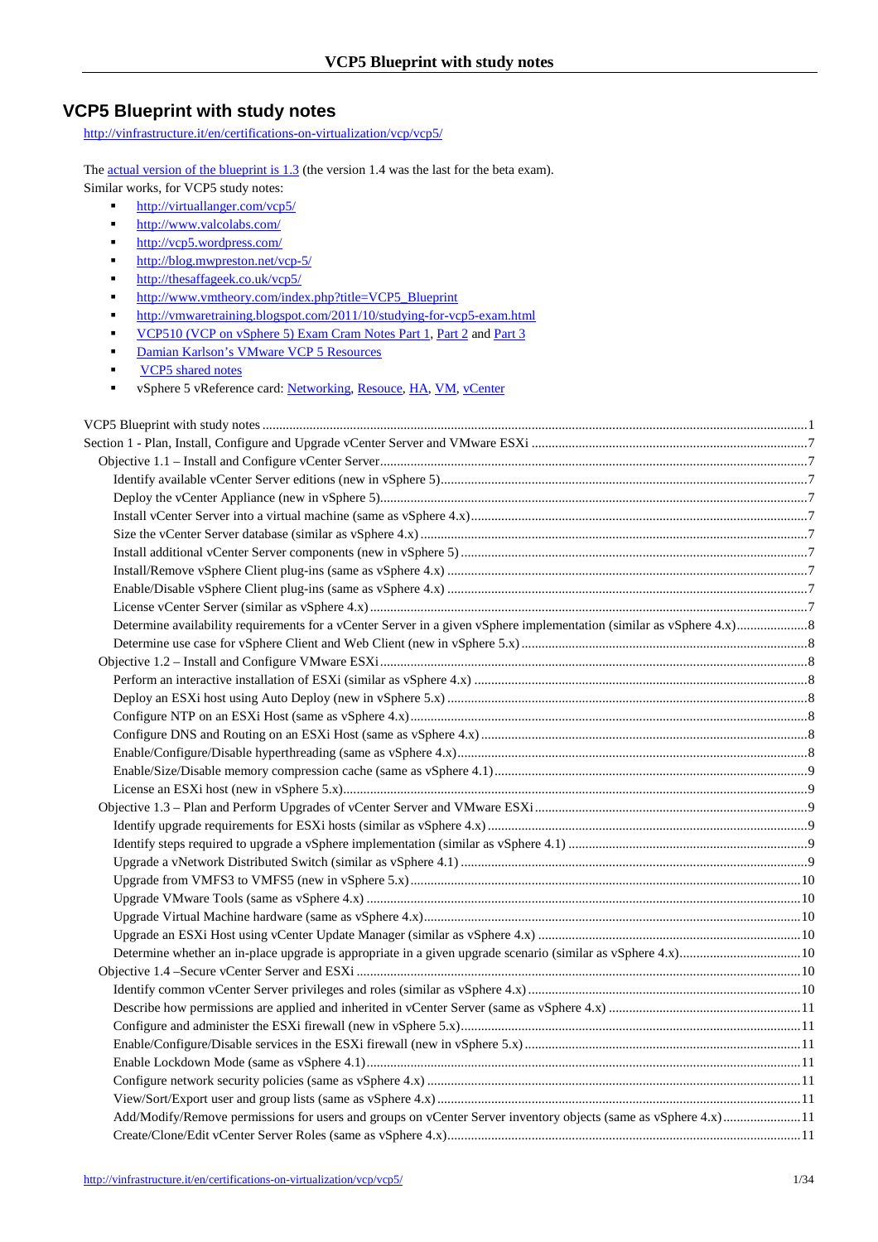http://vinfrastructure.it/en/certifications-on-virtualization/vcp/vcp5/

The actual version of the blueprint is 1.3 (the version 1.4 was the last for the beta exam). Similar works, for VCP5 study notes:

- http://virtuallanger.com/vcp5/
- http://www.valcolabs.com/
- http://vcp5.wordpress.com/
- http://blog.mwpreston.net/vcp-5/
- **http://thesaffageek.co.uk/vcp5/**
- http://www.vmtheory.com/index.php?title=VCP5\_Blueprint
- http://vmwaretraining.blogspot.com/2011/10/studying-for-vcp5-exam.html
- VCP510 (VCP on vSphere 5) Exam Cram Notes Part 1, Part 2 and Part 3
- Damian Karlson's VMware VCP 5 Resources
- **VCP5** shared notes
- vSphere 5 vReference card: Networking, Resouce, HA, VM, vCenter

| Add/Modify/Remove permissions for users and groups on vCenter Server inventory objects (same as vSphere 4.x)11 |  |
|----------------------------------------------------------------------------------------------------------------|--|
|                                                                                                                |  |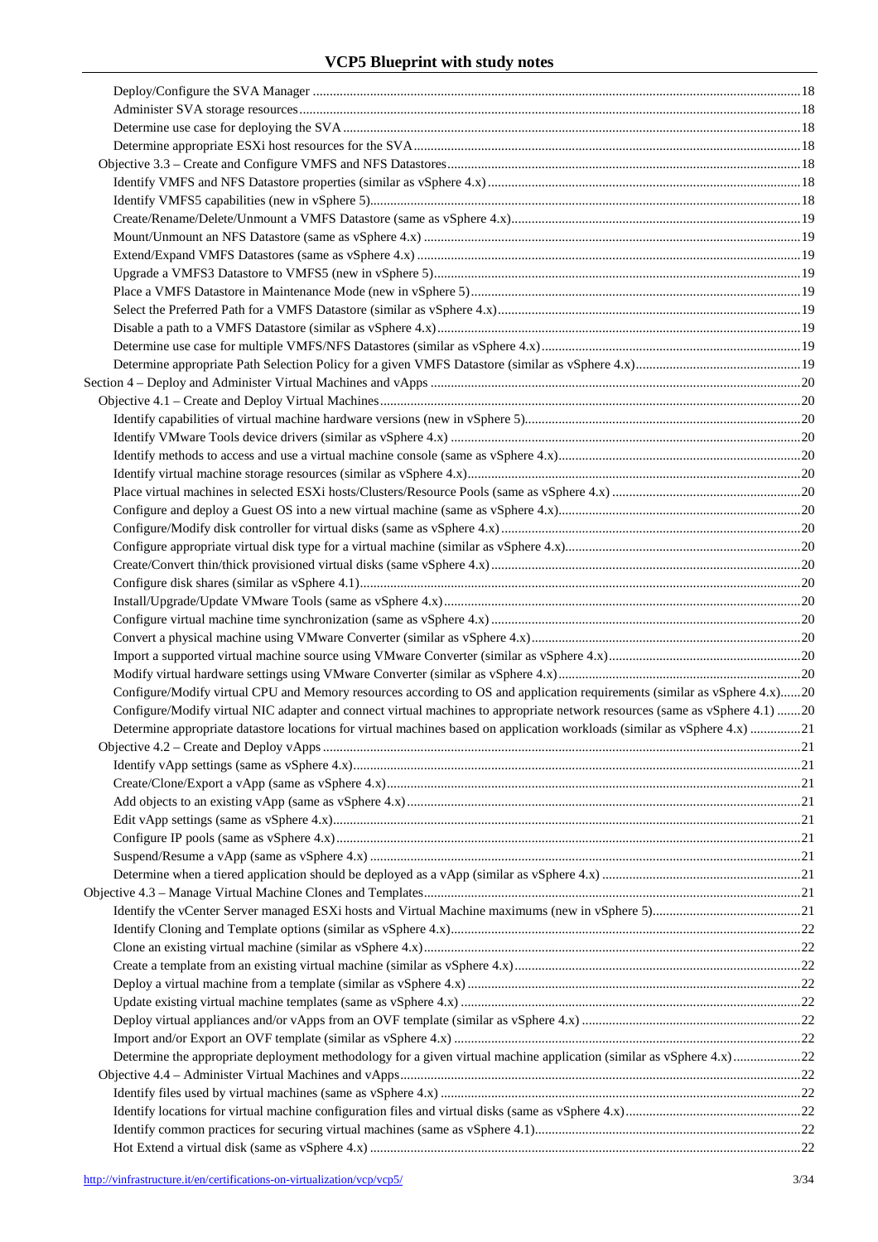| Configure/Modify virtual CPU and Memory resources according to OS and application requirements (similar as vSphere 4.x)20   |  |
|-----------------------------------------------------------------------------------------------------------------------------|--|
| Configure/Modify virtual NIC adapter and connect virtual machines to appropriate network resources (same as vSphere 4.1) 20 |  |
| Determine appropriate datastore locations for virtual machines based on application workloads (similar as vSphere 4.x) 21   |  |
|                                                                                                                             |  |
|                                                                                                                             |  |
|                                                                                                                             |  |
|                                                                                                                             |  |
|                                                                                                                             |  |
|                                                                                                                             |  |
|                                                                                                                             |  |
|                                                                                                                             |  |
|                                                                                                                             |  |
|                                                                                                                             |  |
|                                                                                                                             |  |
|                                                                                                                             |  |
|                                                                                                                             |  |
|                                                                                                                             |  |
|                                                                                                                             |  |
|                                                                                                                             |  |
|                                                                                                                             |  |
|                                                                                                                             |  |
| Determine the appropriate deployment methodology for a given virtual machine application (similar as vSphere 4.x) 22        |  |
|                                                                                                                             |  |
|                                                                                                                             |  |
|                                                                                                                             |  |
|                                                                                                                             |  |
|                                                                                                                             |  |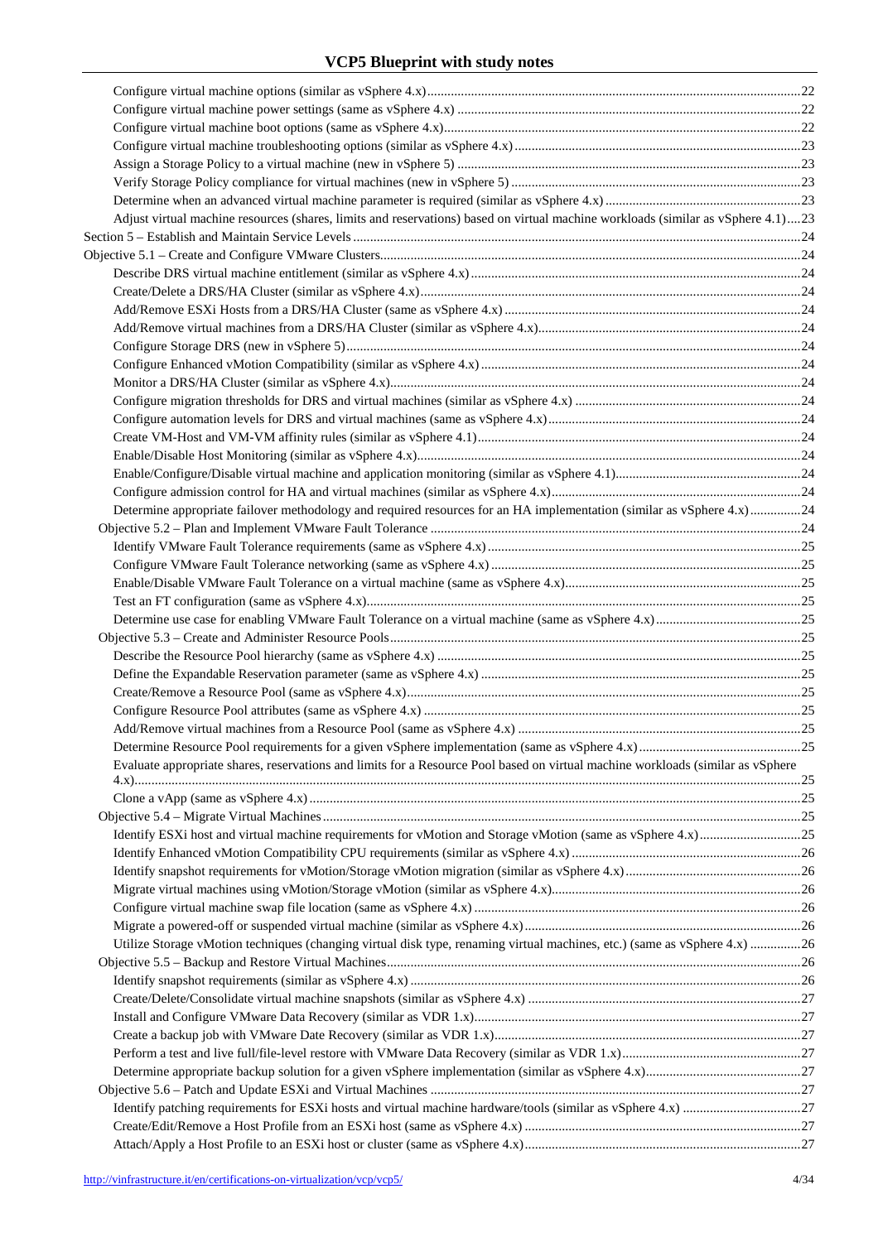| Adjust virtual machine resources (shares, limits and reservations) based on virtual machine workloads (similar as vSphere 4.1)23 |  |
|----------------------------------------------------------------------------------------------------------------------------------|--|
|                                                                                                                                  |  |
|                                                                                                                                  |  |
|                                                                                                                                  |  |
|                                                                                                                                  |  |
|                                                                                                                                  |  |
|                                                                                                                                  |  |
|                                                                                                                                  |  |
|                                                                                                                                  |  |
|                                                                                                                                  |  |
|                                                                                                                                  |  |
|                                                                                                                                  |  |
|                                                                                                                                  |  |
|                                                                                                                                  |  |
|                                                                                                                                  |  |
|                                                                                                                                  |  |
| Determine appropriate failover methodology and required resources for an HA implementation (similar as vSphere 4.x)24            |  |
|                                                                                                                                  |  |
|                                                                                                                                  |  |
|                                                                                                                                  |  |
|                                                                                                                                  |  |
|                                                                                                                                  |  |
|                                                                                                                                  |  |
|                                                                                                                                  |  |
|                                                                                                                                  |  |
|                                                                                                                                  |  |
|                                                                                                                                  |  |
|                                                                                                                                  |  |
|                                                                                                                                  |  |
|                                                                                                                                  |  |
| Evaluate appropriate shares, reservations and limits for a Resource Pool based on virtual machine workloads (similar as vSphere  |  |
|                                                                                                                                  |  |
|                                                                                                                                  |  |
|                                                                                                                                  |  |
|                                                                                                                                  |  |
|                                                                                                                                  |  |
|                                                                                                                                  |  |
|                                                                                                                                  |  |
|                                                                                                                                  |  |
| Utilize Storage vMotion techniques (changing virtual disk type, renaming virtual machines, etc.) (same as vSphere 4.x) 26        |  |
|                                                                                                                                  |  |
|                                                                                                                                  |  |
|                                                                                                                                  |  |
|                                                                                                                                  |  |
|                                                                                                                                  |  |
|                                                                                                                                  |  |
|                                                                                                                                  |  |
|                                                                                                                                  |  |
|                                                                                                                                  |  |
|                                                                                                                                  |  |
|                                                                                                                                  |  |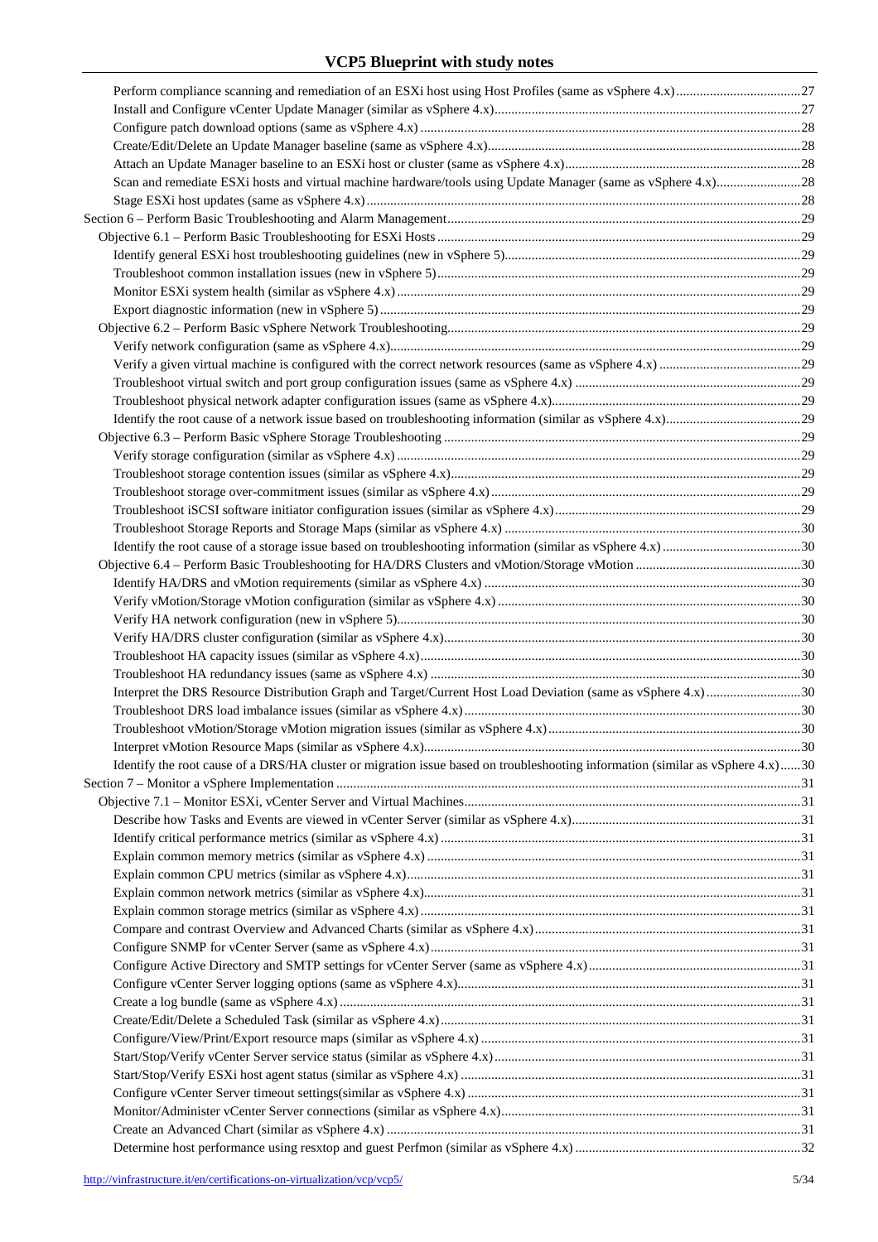| Interpret the DRS Resource Distribution Graph and Target/Current Host Load Deviation (same as vSphere 4.x)30                   |  |
|--------------------------------------------------------------------------------------------------------------------------------|--|
|                                                                                                                                |  |
|                                                                                                                                |  |
|                                                                                                                                |  |
| Identify the root cause of a DRS/HA cluster or migration issue based on troubleshooting information (similar as vSphere 4.x)30 |  |
|                                                                                                                                |  |
|                                                                                                                                |  |
|                                                                                                                                |  |
|                                                                                                                                |  |
|                                                                                                                                |  |
|                                                                                                                                |  |
|                                                                                                                                |  |
|                                                                                                                                |  |
|                                                                                                                                |  |
|                                                                                                                                |  |
|                                                                                                                                |  |
|                                                                                                                                |  |
|                                                                                                                                |  |
|                                                                                                                                |  |
|                                                                                                                                |  |
|                                                                                                                                |  |
|                                                                                                                                |  |
|                                                                                                                                |  |
|                                                                                                                                |  |
|                                                                                                                                |  |
|                                                                                                                                |  |
|                                                                                                                                |  |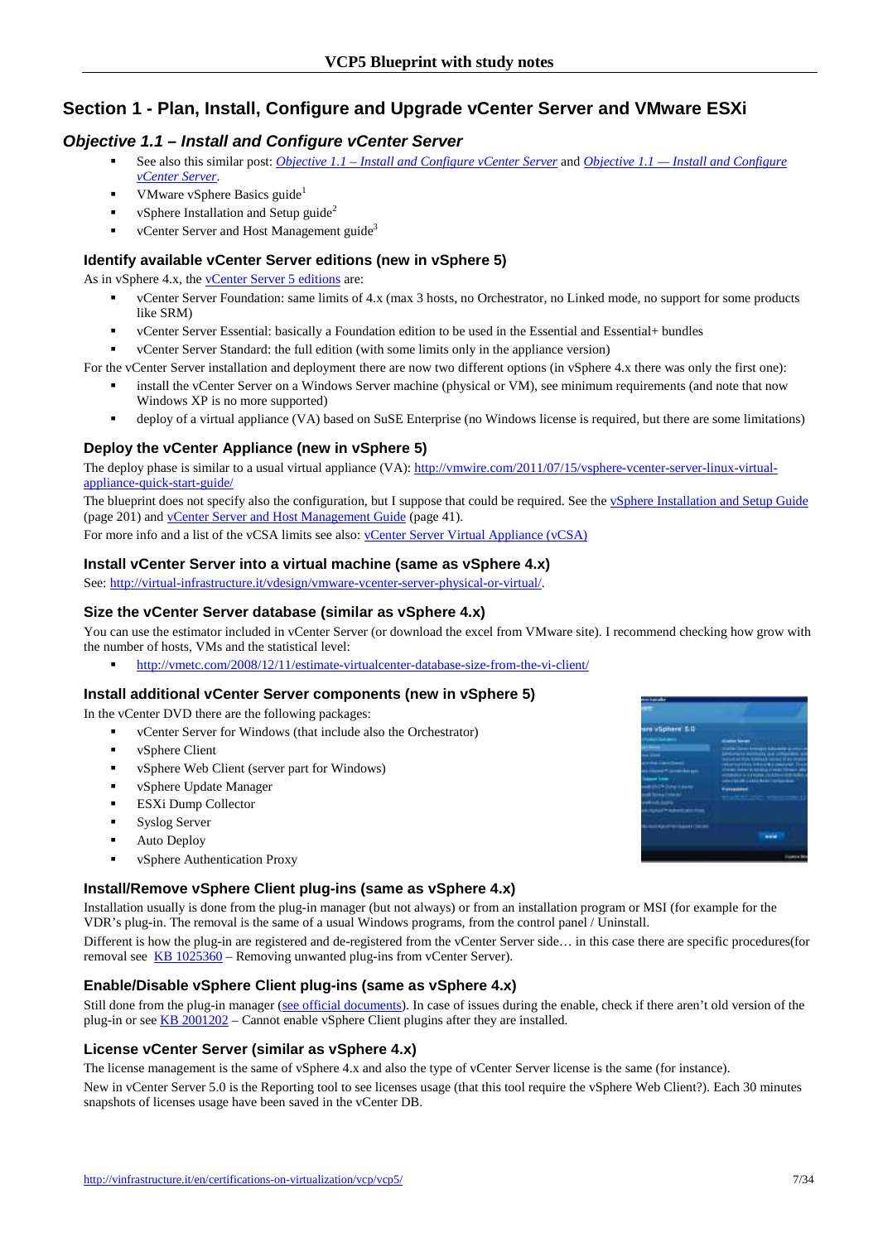# **Section 1 - Plan, Install, Configure and Upgrade vCenter Server and VMware ESXi**

## **Objective 1.1 – Install and Configure vCenter Server**

- See also this similar post: *Objective 1.1 Install and Configure vCenter Server* and *Objective 1.1 Install and Configure vCenter Server*.
- VMware vSphere Basics guide<sup>1</sup>
- vSphere Installation and Setup guide<sup>2</sup>
- $\blacksquare$  vCenter Server and Host Management guide<sup>3</sup>

## **Identify available vCenter Server editions (new in vSphere 5)**

As in vSphere 4.x, the vCenter Server 5 editions are:

- vCenter Server Foundation: same limits of 4.x (max 3 hosts, no Orchestrator, no Linked mode, no support for some products like SRM)
- vCenter Server Essential: basically a Foundation edition to be used in the Essential and Essential+ bundles
- vCenter Server Standard: the full edition (with some limits only in the appliance version)

For the vCenter Server installation and deployment there are now two different options (in vSphere 4.x there was only the first one):

- install the vCenter Server on a Windows Server machine (physical or VM), see minimum requirements (and note that now Windows XP is no more supported)
- deploy of a virtual appliance (VA) based on SuSE Enterprise (no Windows license is required, but there are some limitations)

## **Deploy the vCenter Appliance (new in vSphere 5)**

The deploy phase is similar to a usual virtual appliance (VA): http://vmwire.com/2011/07/15/vsphere-vcenter-server-linux-virtualappliance-quick-start-guide/

The blueprint does not specify also the configuration, but I suppose that could be required. See the vSphere Installation and Setup Guide (page 201) and vCenter Server and Host Management Guide (page 41).

For more info and a list of the vCSA limits see also: vCenter Server Virtual Appliance (vCSA)

#### **Install vCenter Server into a virtual machine (same as vSphere 4.x)**

See: http://virtual-infrastructure.it/vdesign/vmware-vcenter-server-physical-or-virtual/.

## **Size the vCenter Server database (similar as vSphere 4.x)**

You can use the estimator included in vCenter Server (or download the excel from VMware site). I recommend checking how grow with the number of hosts, VMs and the statistical level:

http://vmetc.com/2008/12/11/estimate-virtualcenter-database-size-from-the-vi-client/

#### **Install additional vCenter Server components (new in vSphere 5)**

In the vCenter DVD there are the following packages:

- vCenter Server for Windows (that include also the Orchestrator)
- vSphere Client
- vSphere Web Client (server part for Windows)
- **v** vSphere Update Manager
- ESXi Dump Collector
- **Syslog Server**
- Auto Deploy
- vSphere Authentication Proxy

## **Install/Remove vSphere Client plug-ins (same as vSphere 4.x)**

Installation usually is done from the plug-in manager (but not always) or from an installation program or MSI (for example for the VDR's plug-in. The removal is the same of a usual Windows programs, from the control panel / Uninstall.

Different is how the plug-in are registered and de-registered from the vCenter Server side… in this case there are specific procedures(for removal see KB 1025360 – Removing unwanted plug-ins from vCenter Server).

#### **Enable/Disable vSphere Client plug-ins (same as vSphere 4.x)**

Still done from the plug-in manager (see official documents). In case of issues during the enable, check if there aren't old version of the plug-in or see KB 2001202 – Cannot enable vSphere Client plugins after they are installed.

#### **License vCenter Server (similar as vSphere 4.x)**

The license management is the same of vSphere 4.x and also the type of vCenter Server license is the same (for instance).

New in vCenter Server 5.0 is the Reporting tool to see licenses usage (that this tool require the vSphere Web Client?). Each 30 minutes snapshots of licenses usage have been saved in the vCenter DB.

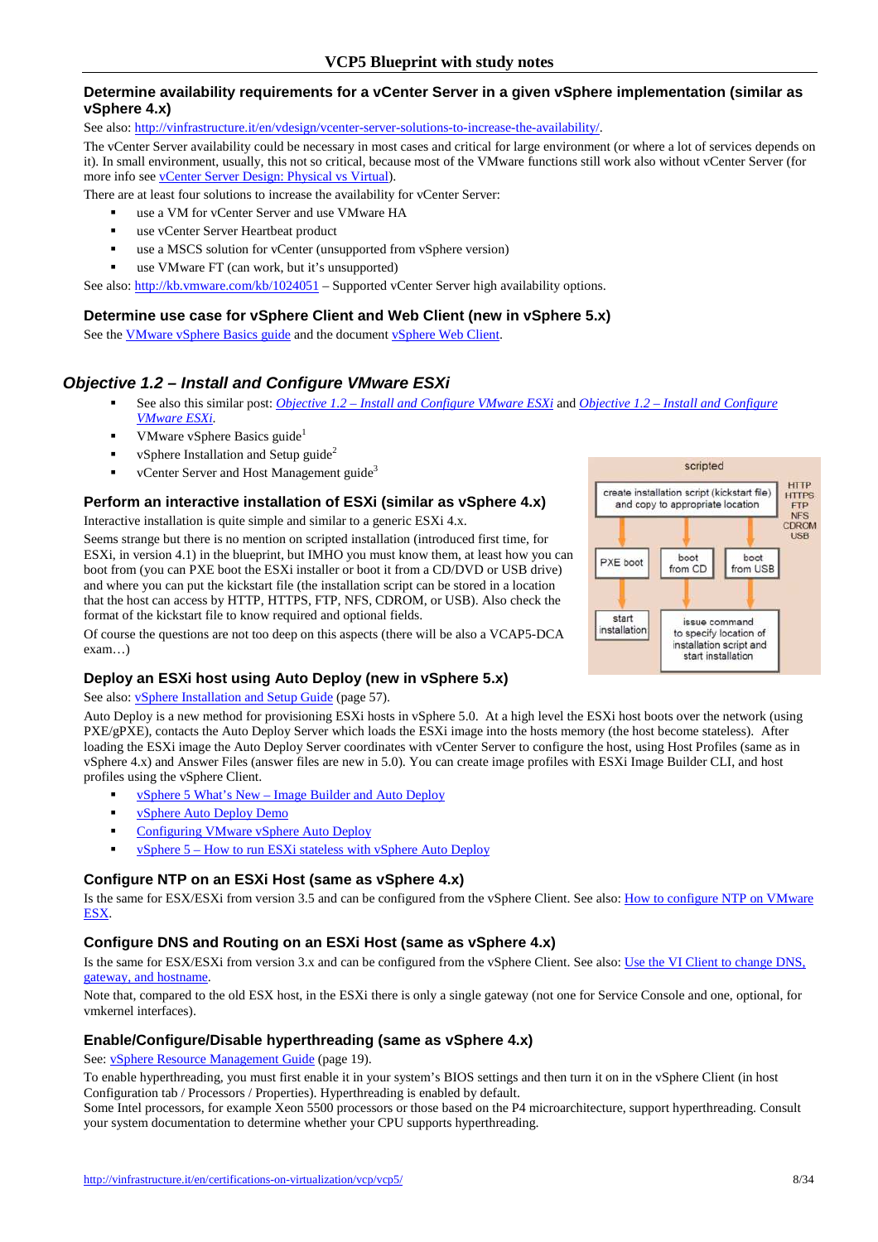### **Determine availability requirements for a vCenter Server in a given vSphere implementation (similar as vSphere 4.x)**

See also: http://vinfrastructure.it/en/vdesign/vcenter-server-solutions-to-increase-the-availability/.

The vCenter Server availability could be necessary in most cases and critical for large environment (or where a lot of services depends on it). In small environment, usually, this not so critical, because most of the VMware functions still work also without vCenter Server (for more info see vCenter Server Design: Physical vs Virtual).

There are at least four solutions to increase the availability for vCenter Server:

- use a VM for vCenter Server and use VMware HA
- **use vCenter Server Heartbeat product**
- use a MSCS solution for vCenter (unsupported from vSphere version)
- use VMware FT (can work, but it's unsupported)

See also: http://kb.vmware.com/kb/1024051 – Supported vCenter Server high availability options.

#### **Determine use case for vSphere Client and Web Client (new in vSphere 5.x)**

See the VMware vSphere Basics guide and the document vSphere Web Client.

## **Objective 1.2 – Install and Configure VMware ESXi**

- See also this similar post: *Objective 1.2 Install and Configure VMware ESXi* and *Objective 1.2 Install and Configure VMware ESXi*.
- VMware vSphere Basics guide<sup>1</sup>
- vSphere Installation and Setup guide<sup>2</sup>
- vCenter Server and Host Management guide<sup>3</sup>

#### **Perform an interactive installation of ESXi (similar as vSphere 4.x)**

Interactive installation is quite simple and similar to a generic ESXi 4.x.

Seems strange but there is no mention on scripted installation (introduced first time, for ESXi, in version 4.1) in the blueprint, but IMHO you must know them, at least how you can boot from (you can PXE boot the ESXi installer or boot it from a CD/DVD or USB drive) and where you can put the kickstart file (the installation script can be stored in a location that the host can access by HTTP, HTTPS, FTP, NFS, CDROM, or USB). Also check the format of the kickstart file to know required and optional fields.

Of course the questions are not too deep on this aspects (there will be also a VCAP5-DCA exam…)

## **Deploy an ESXi host using Auto Deploy (new in vSphere 5.x)**

#### See also: **vSphere Installation and Setup Guide** (page 57).

Auto Deploy is a new method for provisioning ESXi hosts in vSphere 5.0. At a high level the ESXi host boots over the network (using PXE/gPXE), contacts the Auto Deploy Server which loads the ESXi image into the hosts memory (the host become stateless). After loading the ESXi image the Auto Deploy Server coordinates with vCenter Server to configure the host, using Host Profiles (same as in vSphere 4.x) and Answer Files (answer files are new in 5.0). You can create image profiles with ESXi Image Builder CLI, and host profiles using the vSphere Client.

- vSphere 5 What's New Image Builder and Auto Deploy
- vSphere Auto Deploy Demo
- Configuring VMware vSphere Auto Deploy
- vSphere 5 How to run ESXi stateless with vSphere Auto Deploy

#### **Configure NTP on an ESXi Host (same as vSphere 4.x)**

Is the same for ESX/ESXi from version 3.5 and can be configured from the vSphere Client. See also: How to configure NTP on VMware ESX.

#### **Configure DNS and Routing on an ESXi Host (same as vSphere 4.x)**

Is the same for ESX/ESXi from version 3.x and can be configured from the vSphere Client. See also: Use the VI Client to change DNS, gateway, and hostname.

Note that, compared to the old ESX host, in the ESXi there is only a single gateway (not one for Service Console and one, optional, for vmkernel interfaces).

#### **Enable/Configure/Disable hyperthreading (same as vSphere 4.x)**

See: vSphere Resource Management Guide (page 19).

To enable hyperthreading, you must first enable it in your system's BIOS settings and then turn it on in the vSphere Client (in host Configuration tab / Processors / Properties). Hyperthreading is enabled by default.

Some Intel processors, for example Xeon 5500 processors or those based on the P4 microarchitecture, support hyperthreading. Consult your system documentation to determine whether your CPU supports hyperthreading.

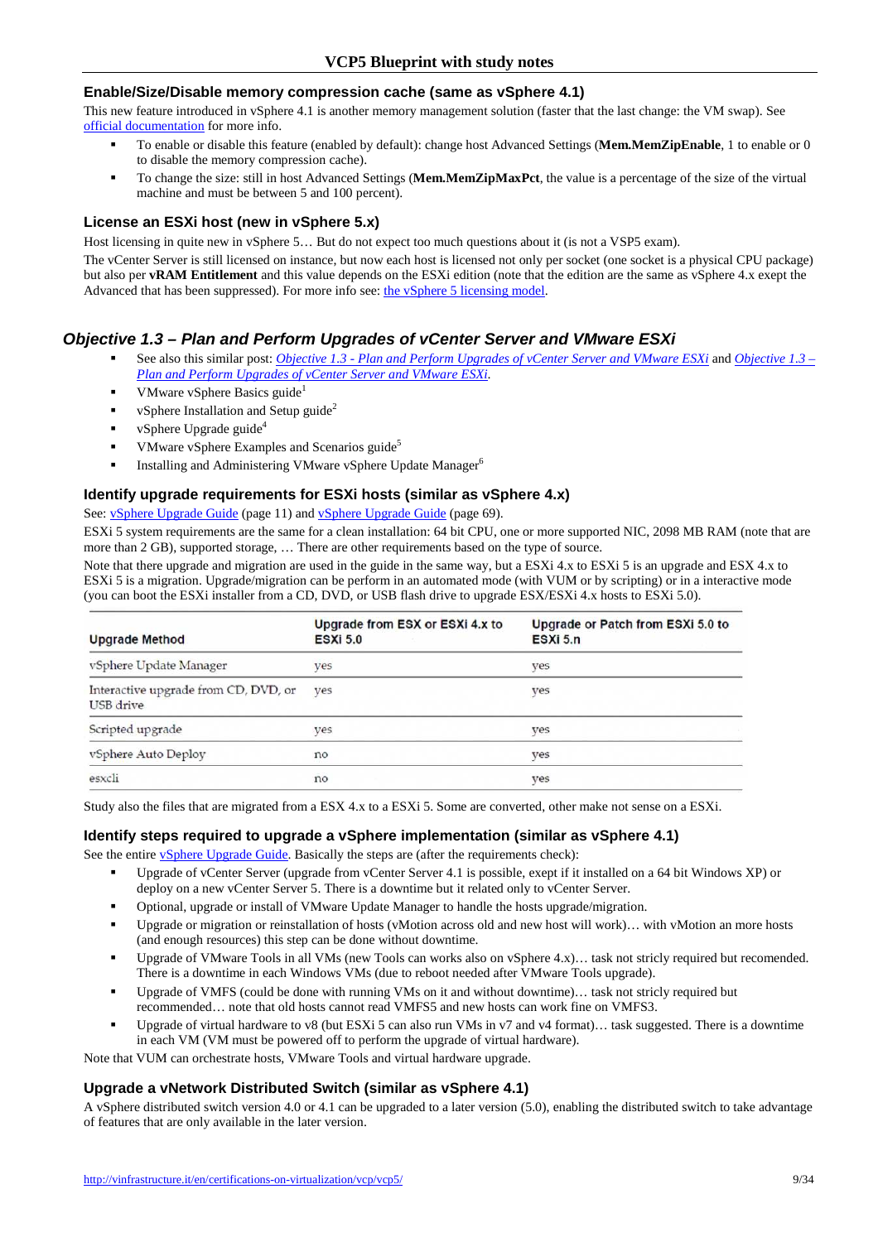#### **Enable/Size/Disable memory compression cache (same as vSphere 4.1)**

This new feature introduced in vSphere 4.1 is another memory management solution (faster that the last change: the VM swap). See official documentation for more info.

- To enable or disable this feature (enabled by default): change host Advanced Settings (**Mem.MemZipEnable**, 1 to enable or 0 to disable the memory compression cache).
- To change the size: still in host Advanced Settings (**Mem.MemZipMaxPct**, the value is a percentage of the size of the virtual machine and must be between 5 and 100 percent).

#### **License an ESXi host (new in vSphere 5.x)**

Host licensing in quite new in vSphere 5… But do not expect too much questions about it (is not a VSP5 exam).

The vCenter Server is still licensed on instance, but now each host is licensed not only per socket (one socket is a physical CPU package) but also per **vRAM Entitlement** and this value depends on the ESXi edition (note that the edition are the same as vSphere 4.x exept the Advanced that has been suppressed). For more info see: the vSphere 5 licensing model.

## **Objective 1.3 – Plan and Perform Upgrades of vCenter Server and VMware ESXi**

- See also this similar post: *Objective 1.3 Plan and Perform Upgrades of vCenter Server and VMware ESXi* and *Objective 1.3 – Plan and Perform Upgrades of vCenter Server and VMware ESXi*.
- **VMware vSphere Basics guide**<sup>1</sup>
- vSphere Installation and Setup guide<sup>2</sup>
- vSphere Upgrade guide<sup>4</sup>
- VMware vSphere Examples and Scenarios guide<sup>5</sup>
- **Installing and Administering VMware vSphere Update Manager**<sup>6</sup>

#### **Identify upgrade requirements for ESXi hosts (similar as vSphere 4.x)**

## See: *vSphere Upgrade Guide* (page 11) and *vSphere Upgrade Guide* (page 69).

ESXi 5 system requirements are the same for a clean installation: 64 bit CPU, one or more supported NIC, 2098 MB RAM (note that are more than 2 GB), supported storage, … There are other requirements based on the type of source.

Note that there upgrade and migration are used in the guide in the same way, but a ESXi 4.x to ESXi 5 is an upgrade and ESX 4.x to ESXi 5 is a migration. Upgrade/migration can be perform in an automated mode (with VUM or by scripting) or in a interactive mode (you can boot the ESXi installer from a CD, DVD, or USB flash drive to upgrade ESX/ESXi 4.x hosts to ESXi 5.0).

| <b>Upgrade Method</b>                             | Upgrade from ESX or ESXi 4.x to<br><b>ESXI 5.0</b> | Upgrade or Patch from ESXi 5.0 to<br>ESXi 5.n |
|---------------------------------------------------|----------------------------------------------------|-----------------------------------------------|
| vSphere Update Manager                            | ves                                                | ves                                           |
| Interactive upgrade from CD, DVD, or<br>USB drive | ves                                                | ves                                           |
| Scripted upgrade                                  | ves                                                | yes                                           |
| vSphere Auto Deploy                               | no                                                 | ves                                           |
| esxcli                                            | no                                                 | ves                                           |

Study also the files that are migrated from a ESX 4.x to a ESXi 5. Some are converted, other make not sense on a ESXi.

#### **Identify steps required to upgrade a vSphere implementation (similar as vSphere 4.1)**

See the entire *vSphere Upgrade Guide*. Basically the steps are (after the requirements check):

- Upgrade of vCenter Server (upgrade from vCenter Server 4.1 is possible, exept if it installed on a 64 bit Windows XP) or deploy on a new vCenter Server 5. There is a downtime but it related only to vCenter Server.
- Optional, upgrade or install of VMware Update Manager to handle the hosts upgrade/migration.
- Upgrade or migration or reinstallation of hosts (vMotion across old and new host will work)… with vMotion an more hosts (and enough resources) this step can be done without downtime.
- Upgrade of VMware Tools in all VMs (new Tools can works also on vSphere 4.x)... task not stricly required but recomended. There is a downtime in each Windows VMs (due to reboot needed after VMware Tools upgrade).
- Upgrade of VMFS (could be done with running VMs on it and without downtime)… task not stricly required but recommended… note that old hosts cannot read VMFS5 and new hosts can work fine on VMFS3.
- Upgrade of virtual hardware to v8 (but ESXi 5 can also run VMs in v7 and v4 format)… task suggested. There is a downtime in each VM (VM must be powered off to perform the upgrade of virtual hardware).

Note that VUM can orchestrate hosts, VMware Tools and virtual hardware upgrade.

#### **Upgrade a vNetwork Distributed Switch (similar as vSphere 4.1)**

A vSphere distributed switch version 4.0 or 4.1 can be upgraded to a later version (5.0), enabling the distributed switch to take advantage of features that are only available in the later version.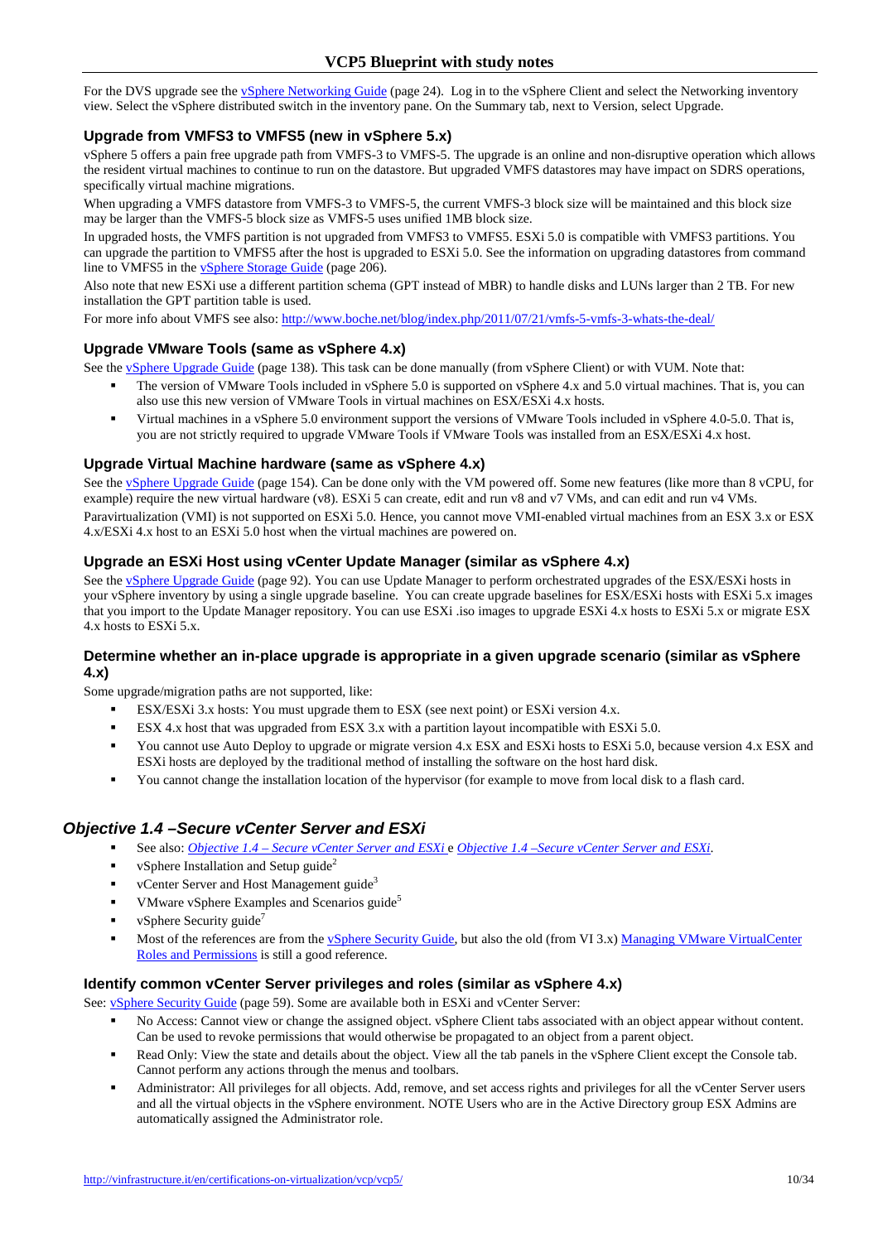For the DVS upgrade see the vSphere Networking Guide (page 24). Log in to the vSphere Client and select the Networking inventory view. Select the vSphere distributed switch in the inventory pane. On the Summary tab, next to Version, select Upgrade.

## **Upgrade from VMFS3 to VMFS5 (new in vSphere 5.x)**

vSphere 5 offers a pain free upgrade path from VMFS-3 to VMFS-5. The upgrade is an online and non-disruptive operation which allows the resident virtual machines to continue to run on the datastore. But upgraded VMFS datastores may have impact on SDRS operations, specifically virtual machine migrations.

When upgrading a VMFS datastore from VMFS-3 to VMFS-5, the current VMFS-3 block size will be maintained and this block size may be larger than the VMFS-5 block size as VMFS-5 uses unified 1MB block size.

In upgraded hosts, the VMFS partition is not upgraded from VMFS3 to VMFS5. ESXi 5.0 is compatible with VMFS3 partitions. You can upgrade the partition to VMFS5 after the host is upgraded to ESXi 5.0. See the information on upgrading datastores from command line to VMFS5 in the vSphere Storage Guide (page 206).

Also note that new ESXi use a different partition schema (GPT instead of MBR) to handle disks and LUNs larger than 2 TB. For new installation the GPT partition table is used.

For more info about VMFS see also: http://www.boche.net/blog/index.php/2011/07/21/ymfs-5-ymfs-3-whats-the-deal/

## **Upgrade VMware Tools (same as vSphere 4.x)**

See the vSphere Upgrade Guide (page 138). This task can be done manually (from vSphere Client) or with VUM. Note that:

- The version of VMware Tools included in vSphere 5.0 is supported on vSphere 4.x and 5.0 virtual machines. That is, you can also use this new version of VMware Tools in virtual machines on ESX/ESXi 4.x hosts.
- Virtual machines in a vSphere 5.0 environment support the versions of VMware Tools included in vSphere 4.0-5.0. That is, you are not strictly required to upgrade VMware Tools if VMware Tools was installed from an ESX/ESXi 4.x host.

## **Upgrade Virtual Machine hardware (same as vSphere 4.x)**

See the vSphere Upgrade Guide (page 154). Can be done only with the VM powered off. Some new features (like more than 8 vCPU, for example) require the new virtual hardware (v8). ESXi 5 can create, edit and run v8 and v7 VMs, and can edit and run v4 VMs. Paravirtualization (VMI) is not supported on ESXi 5.0. Hence, you cannot move VMI-enabled virtual machines from an ESX 3.x or ESX 4.x/ESXi 4.x host to an ESXi 5.0 host when the virtual machines are powered on.

## **Upgrade an ESXi Host using vCenter Update Manager (similar as vSphere 4.x)**

See the vSphere Upgrade Guide (page 92). You can use Update Manager to perform orchestrated upgrades of the ESX/ESXi hosts in your vSphere inventory by using a single upgrade baseline. You can create upgrade baselines for ESX/ESXi hosts with ESXi 5.x images that you import to the Update Manager repository. You can use ESXi .iso images to upgrade ESXi 4.x hosts to ESXi 5.x or migrate ESX 4.x hosts to ESXi 5.x.

#### **Determine whether an in-place upgrade is appropriate in a given upgrade scenario (similar as vSphere 4.x)**

Some upgrade/migration paths are not supported, like:

- ESX/ESXi 3.x hosts: You must upgrade them to ESX (see next point) or ESXi version 4.x.
- ESX 4.x host that was upgraded from ESX 3.x with a partition layout incompatible with ESXi 5.0.
- You cannot use Auto Deploy to upgrade or migrate version 4.x ESX and ESXi hosts to ESXi 5.0, because version 4.x ESX and ESXi hosts are deployed by the traditional method of installing the software on the host hard disk.
- You cannot change the installation location of the hypervisor (for example to move from local disk to a flash card.

# **Objective 1.4 –Secure vCenter Server and ESXi**

- See also: *Objective 1.4 Secure vCenter Server and ESXi* e *Objective 1.4 –Secure vCenter Server and ESXi*.
- vSphere Installation and Setup guide<sup>2</sup>
- $\bullet$  vCenter Server and Host Management guide<sup>3</sup>
- VMware vSphere Examples and Scenarios guide<sup>5</sup>
- vSphere Security guide<sup>7</sup>
- Most of the references are from the vSphere Security Guide, but also the old (from VI 3.x) Managing VMware VirtualCenter Roles and Permissions is still a good reference.

#### **Identify common vCenter Server privileges and roles (similar as vSphere 4.x)**

See: **vSphere Security Guide** (page 59). Some are available both in ESXi and vCenter Server:

- No Access: Cannot view or change the assigned object. vSphere Client tabs associated with an object appear without content. Can be used to revoke permissions that would otherwise be propagated to an object from a parent object.
- Read Only: View the state and details about the object. View all the tab panels in the vSphere Client except the Console tab. Cannot perform any actions through the menus and toolbars.
- Administrator: All privileges for all objects. Add, remove, and set access rights and privileges for all the vCenter Server users and all the virtual objects in the vSphere environment. NOTE Users who are in the Active Directory group ESX Admins are automatically assigned the Administrator role.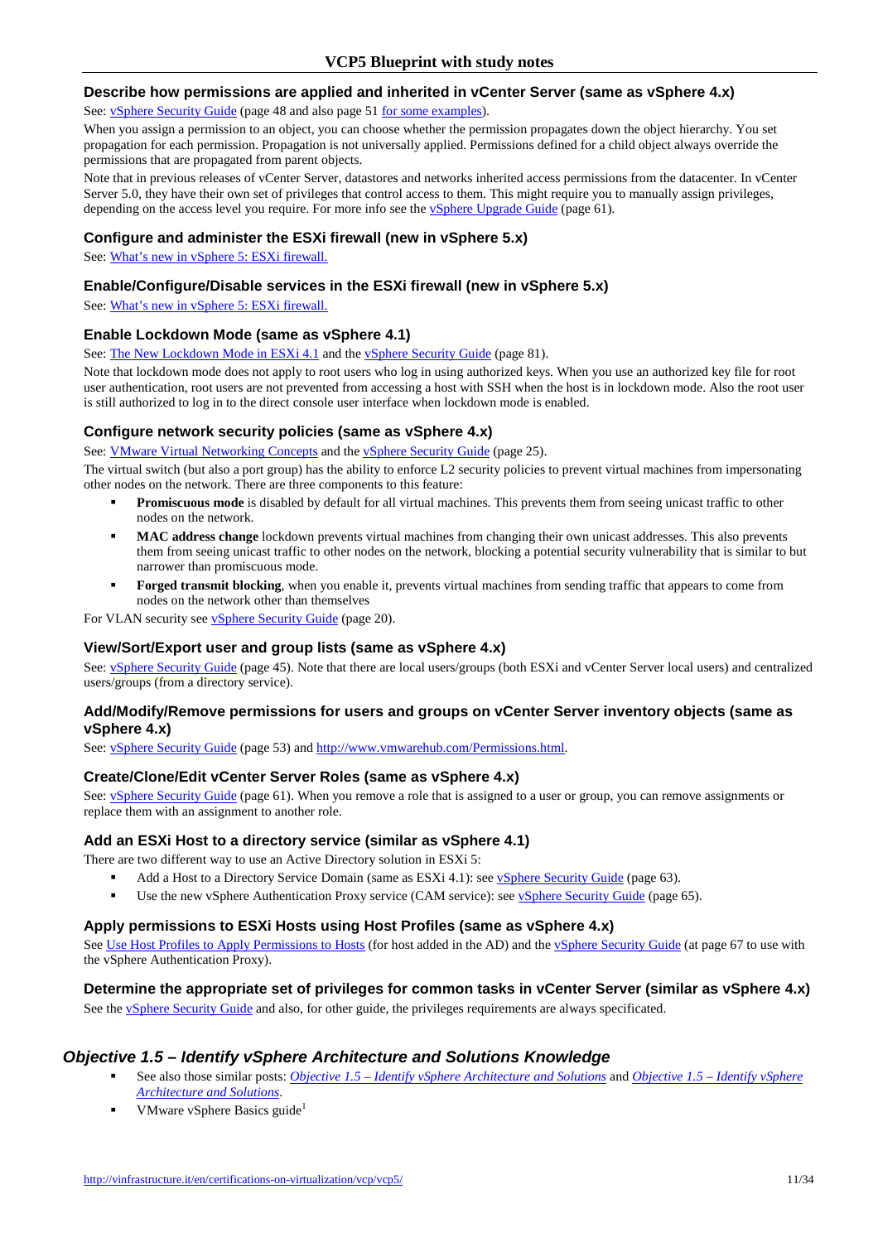#### **Describe how permissions are applied and inherited in vCenter Server (same as vSphere 4.x)**

See: vSphere Security Guide (page 48 and also page 51 for some examples).

When you assign a permission to an object, you can choose whether the permission propagates down the object hierarchy. You set propagation for each permission. Propagation is not universally applied. Permissions defined for a child object always override the permissions that are propagated from parent objects.

Note that in previous releases of vCenter Server, datastores and networks inherited access permissions from the datacenter. In vCenter Server 5.0, they have their own set of privileges that control access to them. This might require you to manually assign privileges, depending on the access level you require. For more info see the **vSphere Upgrade Guide** (page 61).

#### **Configure and administer the ESXi firewall (new in vSphere 5.x)**

See: What's new in vSphere 5: ESXi firewall.

#### **Enable/Configure/Disable services in the ESXi firewall (new in vSphere 5.x)**

See: What's new in vSphere 5: ESXi firewall.

#### **Enable Lockdown Mode (same as vSphere 4.1)**

See: The New Lockdown Mode in ESXi 4.1 and the vSphere Security Guide (page 81).

Note that lockdown mode does not apply to root users who log in using authorized keys. When you use an authorized key file for root user authentication, root users are not prevented from accessing a host with SSH when the host is in lockdown mode. Also the root user is still authorized to log in to the direct console user interface when lockdown mode is enabled.

#### **Configure network security policies (same as vSphere 4.x)**

See: VMware Virtual Networking Concepts and the vSphere Security Guide (page 25).

The virtual switch (but also a port group) has the ability to enforce L2 security policies to prevent virtual machines from impersonating other nodes on the network. There are three components to this feature:

- **Promiscuous mode** is disabled by default for all virtual machines. This prevents them from seeing unicast traffic to other nodes on the network.
- **MAC address change** lockdown prevents virtual machines from changing their own unicast addresses. This also prevents them from seeing unicast traffic to other nodes on the network, blocking a potential security vulnerability that is similar to but narrower than promiscuous mode.
- **Forged transmit blocking**, when you enable it, prevents virtual machines from sending traffic that appears to come from nodes on the network other than themselves

For VLAN security see vSphere Security Guide (page 20).

#### **View/Sort/Export user and group lists (same as vSphere 4.x)**

See: vSphere Security Guide (page 45). Note that there are local users/groups (both ESXi and vCenter Server local users) and centralized users/groups (from a directory service).

#### **Add/Modify/Remove permissions for users and groups on vCenter Server inventory objects (same as vSphere 4.x)**

See: vSphere Security Guide (page 53) and http://www.vmwarehub.com/Permissions.html.

#### **Create/Clone/Edit vCenter Server Roles (same as vSphere 4.x)**

See: vSphere Security Guide (page 61). When you remove a role that is assigned to a user or group, you can remove assignments or replace them with an assignment to another role.

#### **Add an ESXi Host to a directory service (similar as vSphere 4.1)**

There are two different way to use an Active Directory solution in ESXi 5:

- Add a Host to a Directory Service Domain (same as ESXi 4.1): see vSphere Security Guide (page 63).
- Use the new vSphere Authentication Proxy service (CAM service): see vSphere Security Guide (page 65).

#### **Apply permissions to ESXi Hosts using Host Profiles (same as vSphere 4.x)**

See Use Host Profiles to Apply Permissions to Hosts (for host added in the AD) and the vSphere Security Guide (at page 67 to use with the vSphere Authentication Proxy).

#### **Determine the appropriate set of privileges for common tasks in vCenter Server (similar as vSphere 4.x)**

See the *vSphere Security Guide* and also, for other guide, the privileges requirements are always specificated.

#### **Objective 1.5 – Identify vSphere Architecture and Solutions Knowledge**

- See also those similar posts: *Objective 1.5 Identify vSphere Architecture and Solutions* and *Objective 1.5 Identify vSphere Architecture and Solutions*.
- VMware vSphere Basics guide<sup>1</sup>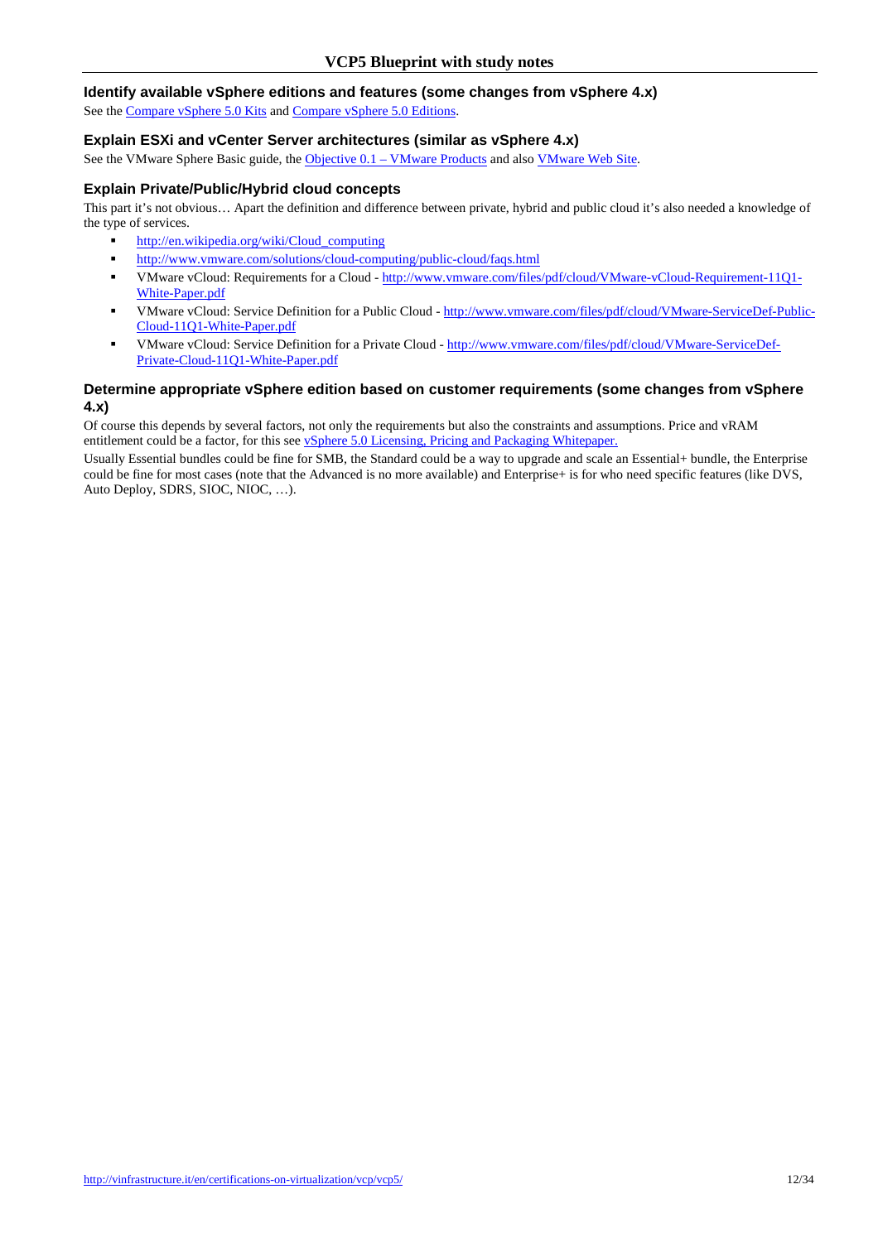#### **Identify available vSphere editions and features (some changes from vSphere 4.x)**

See the Compare vSphere 5.0 Kits and Compare vSphere 5.0 Editions.

#### **Explain ESXi and vCenter Server architectures (similar as vSphere 4.x)**

See the VMware Sphere Basic guide, the Objective 0.1 – VMware Products and also VMware Web Site.

#### **Explain Private/Public/Hybrid cloud concepts**

This part it's not obvious… Apart the definition and difference between private, hybrid and public cloud it's also needed a knowledge of the type of services.

- http://en.wikipedia.org/wiki/Cloud\_computing
- **http://www.vmware.com/solutions/cloud-computing/public-cloud/faqs.html**
- VMware vCloud: Requirements for a Cloud http://www.vmware.com/files/pdf/cloud/VMware-vCloud-Requirement-11Q1- White-Paper.pdf
- VMware vCloud: Service Definition for a Public Cloud http://www.vmware.com/files/pdf/cloud/VMware-ServiceDef-Public-Cloud-11Q1-White-Paper.pdf
- VMware vCloud: Service Definition for a Private Cloud http://www.vmware.com/files/pdf/cloud/VMware-ServiceDef-Private-Cloud-11Q1-White-Paper.pdf

#### **Determine appropriate vSphere edition based on customer requirements (some changes from vSphere 4.x)**

Of course this depends by several factors, not only the requirements but also the constraints and assumptions. Price and vRAM entitlement could be a factor, for this see **vSphere 5.0 Licensing**, Pricing and Packaging Whitepaper.

Usually Essential bundles could be fine for SMB, the Standard could be a way to upgrade and scale an Essential+ bundle, the Enterprise could be fine for most cases (note that the Advanced is no more available) and Enterprise+ is for who need specific features (like DVS, Auto Deploy, SDRS, SIOC, NIOC, …).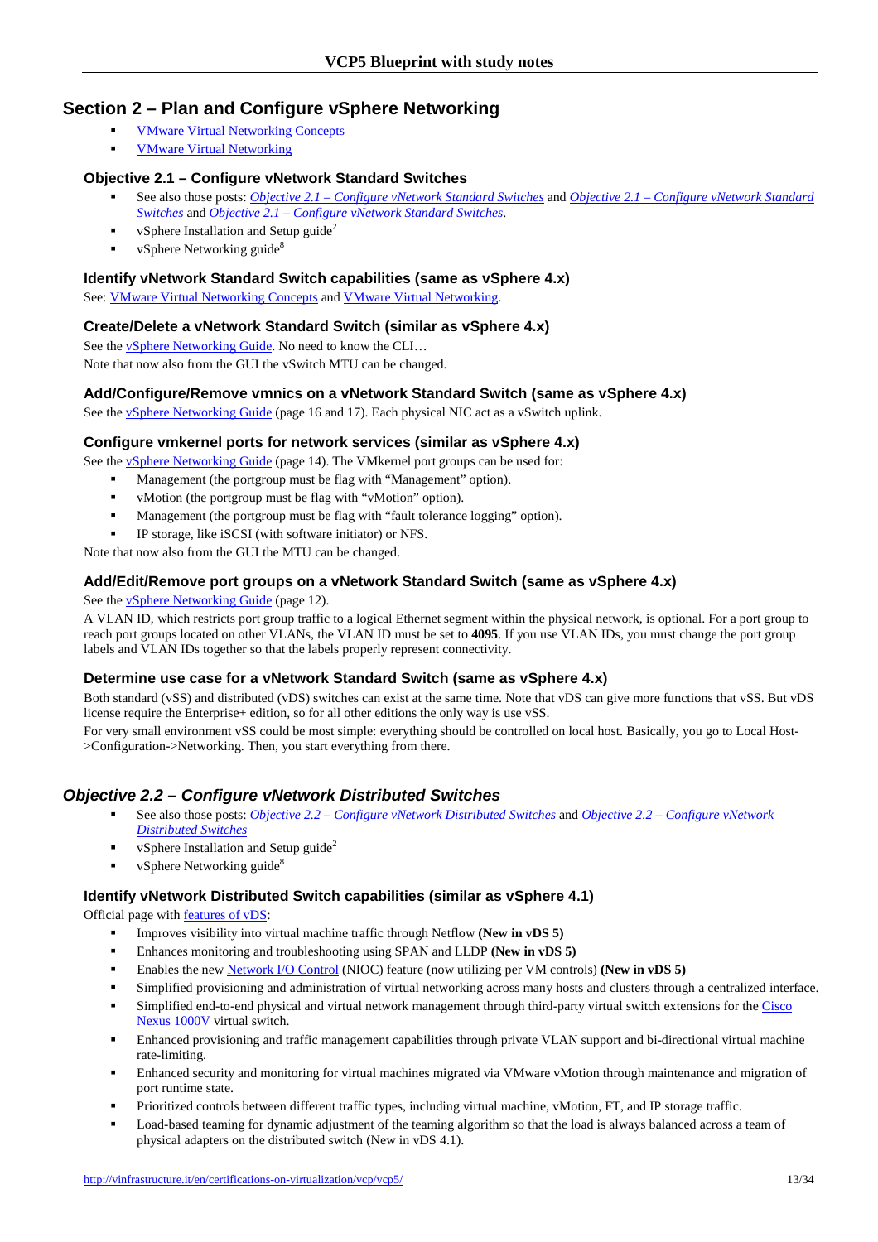# **Section 2 – Plan and Configure vSphere Networking**

- VMware Virtual Networking Concepts
- VMware Virtual Networking

## **Objective 2.1 – Configure vNetwork Standard Switches**

- See also those posts: *Objective 2.1 Configure vNetwork Standard Switches* and *Objective 2.1 Configure vNetwork Standard Switches* and *Objective 2.1 – Configure vNetwork Standard Switches*.
- vSphere Installation and Setup guide<sup>2</sup>
- $\bullet$  vSphere Networking guide<sup>8</sup>

### **Identify vNetwork Standard Switch capabilities (same as vSphere 4.x)**

See: VMware Virtual Networking Concepts and VMware Virtual Networking.

## **Create/Delete a vNetwork Standard Switch (similar as vSphere 4.x)**

See the *vSphere Networking Guide*. No need to know the CLI... Note that now also from the GUI the vSwitch MTU can be changed.

## **Add/Configure/Remove vmnics on a vNetwork Standard Switch (same as vSphere 4.x)**

See the **v**Sphere Networking Guide (page 16 and 17). Each physical NIC act as a vSwitch uplink.

#### **Configure vmkernel ports for network services (similar as vSphere 4.x)**

See the **vSphere Networking Guide** (page 14). The VMkernel port groups can be used for:

- Management (the portgroup must be flag with "Management" option).
- vMotion (the portgroup must be flag with "vMotion" option).
- Management (the portgroup must be flag with "fault tolerance logging" option).
- IP storage, like iSCSI (with software initiator) or NFS.

Note that now also from the GUI the MTU can be changed.

## **Add/Edit/Remove port groups on a vNetwork Standard Switch (same as vSphere 4.x)**

See the vSphere Networking Guide (page 12).

A VLAN ID, which restricts port group traffic to a logical Ethernet segment within the physical network, is optional. For a port group to reach port groups located on other VLANs, the VLAN ID must be set to **4095**. If you use VLAN IDs, you must change the port group labels and VLAN IDs together so that the labels properly represent connectivity.

#### **Determine use case for a vNetwork Standard Switch (same as vSphere 4.x)**

Both standard (vSS) and distributed (vDS) switches can exist at the same time. Note that vDS can give more functions that vSS. But vDS license require the Enterprise+ edition, so for all other editions the only way is use vSS.

For very small environment vSS could be most simple: everything should be controlled on local host. Basically, you go to Local Host- >Configuration->Networking. Then, you start everything from there.

## **Objective 2.2 – Configure vNetwork Distributed Switches**

- See also those posts: *Objective 2.2 Configure vNetwork Distributed Switches* and *Objective 2.2 Configure vNetwork Distributed Switches*
- vSphere Installation and Setup guide<sup>2</sup>
- $\bullet$  vSphere Networking guide<sup>8</sup>

#### **Identify vNetwork Distributed Switch capabilities (similar as vSphere 4.1)**

Official page with features of vDS:

- Improves visibility into virtual machine traffic through Netflow **(New in vDS 5)**
- Enhances monitoring and troubleshooting using SPAN and LLDP **(New in vDS 5)**
- Enables the new Network I/O Control (NIOC) feature (now utilizing per VM controls) **(New in vDS 5)**
- Simplified provisioning and administration of virtual networking across many hosts and clusters through a centralized interface.
- Simplified end-to-end physical and virtual network management through third-party virtual switch extensions for the Cisco Nexus 1000V virtual switch.
- Enhanced provisioning and traffic management capabilities through private VLAN support and bi-directional virtual machine rate-limiting.
- Enhanced security and monitoring for virtual machines migrated via VMware vMotion through maintenance and migration of port runtime state.
- Prioritized controls between different traffic types, including virtual machine, vMotion, FT, and IP storage traffic.
- Load-based teaming for dynamic adjustment of the teaming algorithm so that the load is always balanced across a team of physical adapters on the distributed switch (New in vDS 4.1).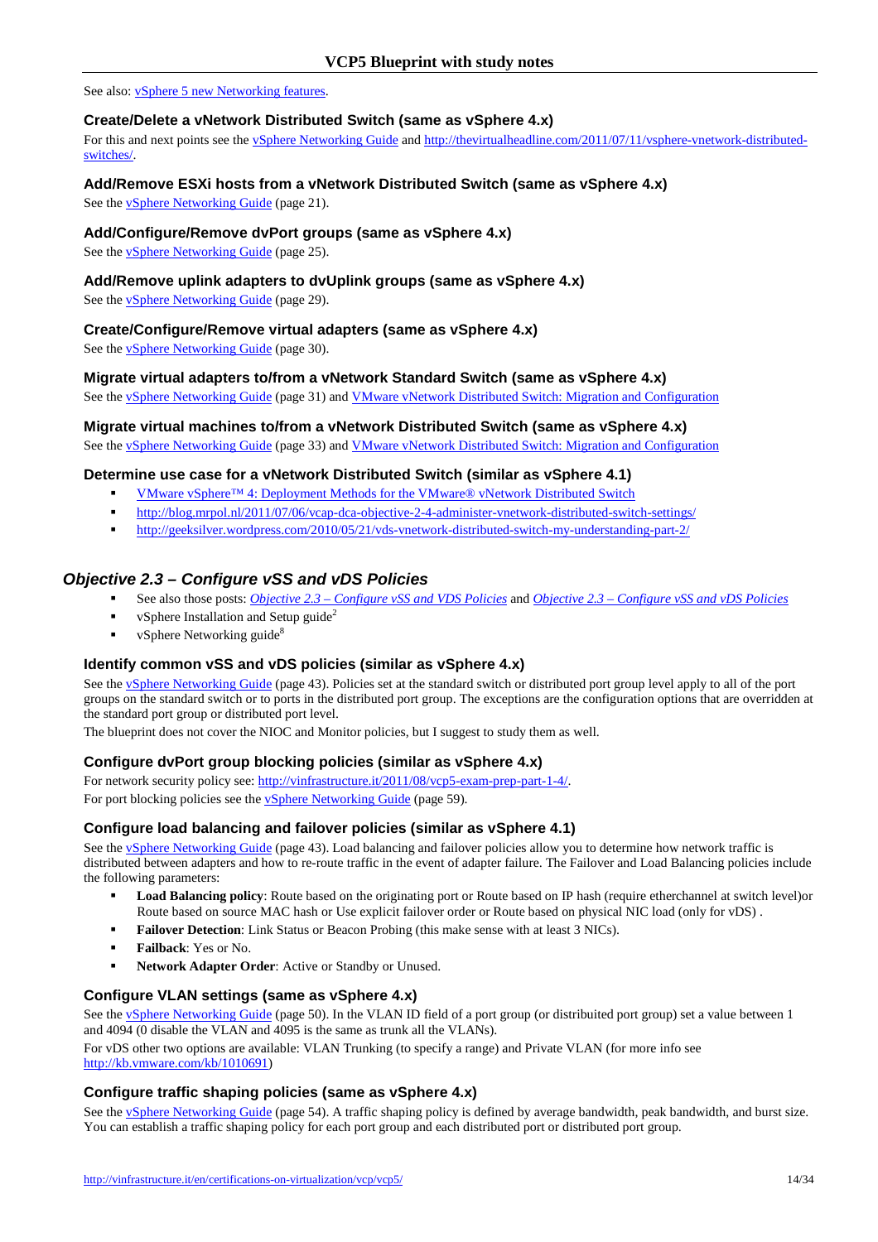See also: vSphere 5 new Networking features.

## **Create/Delete a vNetwork Distributed Switch (same as vSphere 4.x)**

For this and next points see the vSphere Networking Guide and http://thevirtualheadline.com/2011/07/11/vsphere-vnetwork-distributedswitches/.

## **Add/Remove ESXi hosts from a vNetwork Distributed Switch (same as vSphere 4.x)**

See the vSphere Networking Guide (page 21).

## **Add/Configure/Remove dvPort groups (same as vSphere 4.x)**

See the vSphere Networking Guide (page 25).

### **Add/Remove uplink adapters to dvUplink groups (same as vSphere 4.x)**

See the vSphere Networking Guide (page 29).

**Create/Configure/Remove virtual adapters (same as vSphere 4.x)** 

See the vSphere Networking Guide (page 30).

#### **Migrate virtual adapters to/from a vNetwork Standard Switch (same as vSphere 4.x)**

See the vSphere Networking Guide (page 31) and VMware vNetwork Distributed Switch: Migration and Configuration

## **Migrate virtual machines to/from a vNetwork Distributed Switch (same as vSphere 4.x)**

See the **vSphere Networking Guide** (page 33) and **VMware vNetwork Distributed Switch: Migration and Configuration** 

## **Determine use case for a vNetwork Distributed Switch (similar as vSphere 4.1)**

- VMware vSphere™ 4: Deployment Methods for the VMware® vNetwork Distributed Switch
- http://blog.mrpol.nl/2011/07/06/vcap-dca-objective-2-4-administer-vnetwork-distributed-switch-settings/
- http://geeksilver.wordpress.com/2010/05/21/vds-vnetwork-distributed-switch-my-understanding-part-2/

# **Objective 2.3 – Configure vSS and vDS Policies**

- See also those posts: *Objective 2.3 Configure vSS and VDS Policies* and *Objective 2.3 Configure vSS and vDS Policies*
- vSphere Installation and Setup guide<sup>2</sup>
- vSphere Networking guide<sup>8</sup>

#### **Identify common vSS and vDS policies (similar as vSphere 4.x)**

See the vSphere Networking Guide (page 43). Policies set at the standard switch or distributed port group level apply to all of the port groups on the standard switch or to ports in the distributed port group. The exceptions are the configuration options that are overridden at the standard port group or distributed port level.

The blueprint does not cover the NIOC and Monitor policies, but I suggest to study them as well.

## **Configure dvPort group blocking policies (similar as vSphere 4.x)**

For network security policy see: http://vinfrastructure.it/2011/08/vcp5-exam-prep-part-1-4/. For port blocking policies see the vSphere Networking Guide (page 59).

#### **Configure load balancing and failover policies (similar as vSphere 4.1)**

See the <u>vSphere Networking Guide</u> (page 43). Load balancing and failover policies allow you to determine how network traffic is distributed between adapters and how to re-route traffic in the event of adapter failure. The Failover and Load Balancing policies include the following parameters:

- **Load Balancing policy**: Route based on the originating port or Route based on IP hash (require etherchannel at switch level)or Route based on source MAC hash or Use explicit failover order or Route based on physical NIC load (only for vDS) .
- **Failover Detection:** Link Status or Beacon Probing (this make sense with at least 3 NICs).
- **Failback**: Yes or No.
- **Network Adapter Order**: Active or Standby or Unused.

#### **Configure VLAN settings (same as vSphere 4.x)**

See the vSphere Networking Guide (page 50). In the VLAN ID field of a port group (or distribuited port group) set a value between 1 and 4094 (0 disable the VLAN and 4095 is the same as trunk all the VLANs).

For vDS other two options are available: VLAN Trunking (to specify a range) and Private VLAN (for more info see http://kb.vmware.com/kb/1010691)

#### **Configure traffic shaping policies (same as vSphere 4.x)**

See the vSphere Networking Guide (page 54). A traffic shaping policy is defined by average bandwidth, peak bandwidth, and burst size. You can establish a traffic shaping policy for each port group and each distributed port or distributed port group.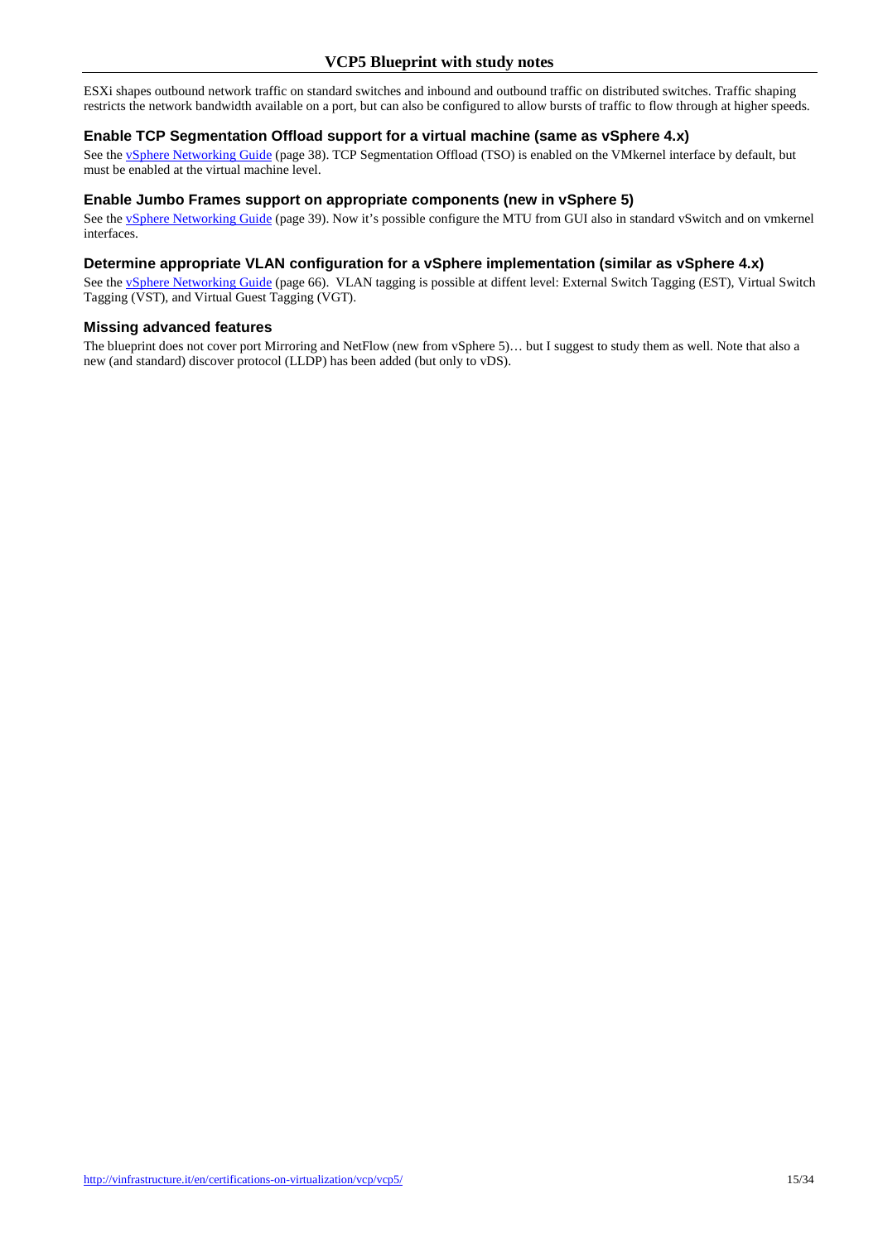ESXi shapes outbound network traffic on standard switches and inbound and outbound traffic on distributed switches. Traffic shaping restricts the network bandwidth available on a port, but can also be configured to allow bursts of traffic to flow through at higher speeds.

#### **Enable TCP Segmentation Offload support for a virtual machine (same as vSphere 4.x)**

See the vSphere Networking Guide (page 38). TCP Segmentation Offload (TSO) is enabled on the VMkernel interface by default, but must be enabled at the virtual machine level.

#### **Enable Jumbo Frames support on appropriate components (new in vSphere 5)**

See the vSphere Networking Guide (page 39). Now it's possible configure the MTU from GUI also in standard vSwitch and on vmkernel interfaces.

#### **Determine appropriate VLAN configuration for a vSphere implementation (similar as vSphere 4.x)**

See the *vSphere Networking Guide* (page 66). VLAN tagging is possible at diffent level: External Switch Tagging (EST), Virtual Switch Tagging (VST), and Virtual Guest Tagging (VGT).

#### **Missing advanced features**

The blueprint does not cover port Mirroring and NetFlow (new from vSphere 5)… but I suggest to study them as well. Note that also a new (and standard) discover protocol (LLDP) has been added (but only to vDS).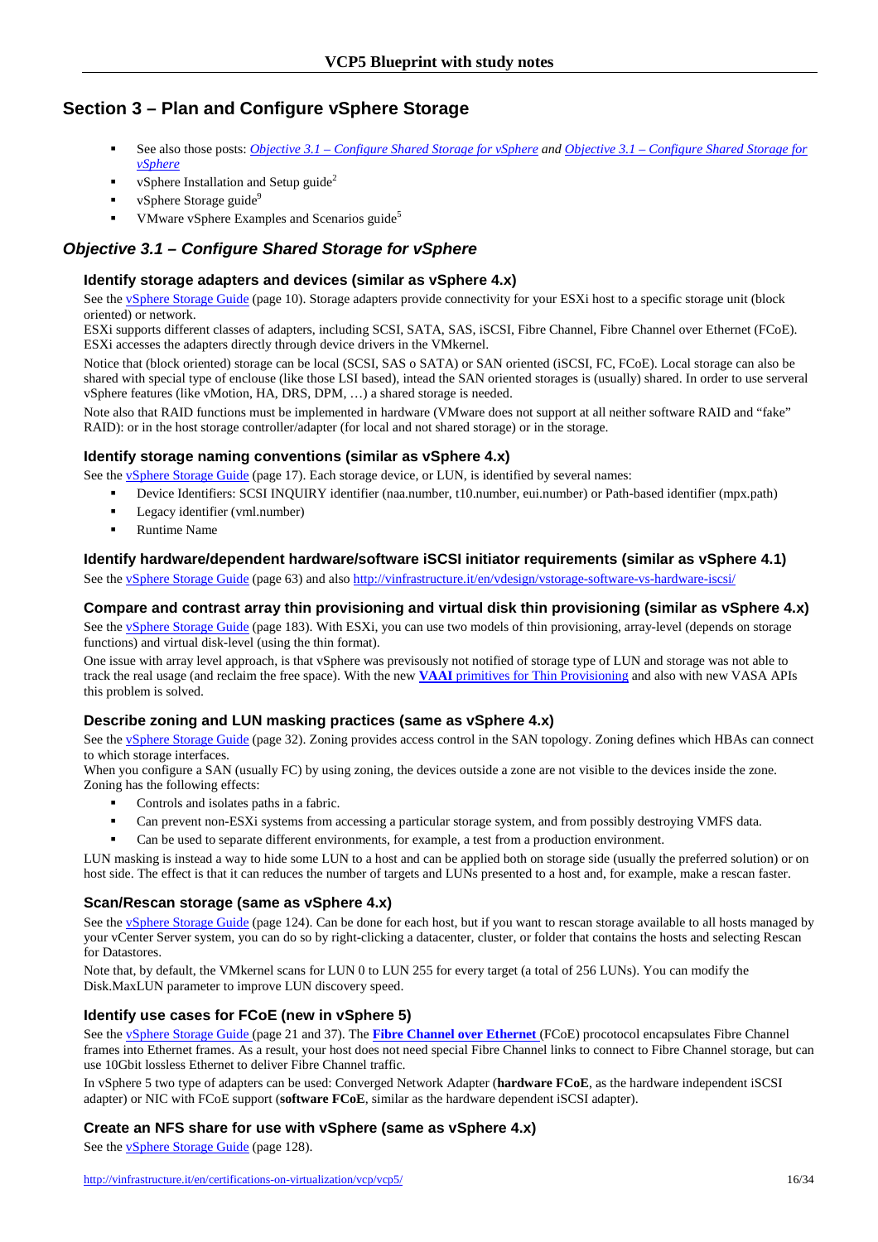# **Section 3 – Plan and Configure vSphere Storage**

- See also those posts: *Objective 3.1 Configure Shared Storage for vSphere and Objective 3.1 Configure Shared Storage for vSphere*
- vSphere Installation and Setup guide<sup>2</sup>
- vSphere Storage guide<sup>9</sup>
- VMware vSphere Examples and Scenarios guide<sup>5</sup>

# **Objective 3.1 – Configure Shared Storage for vSphere**

## **Identify storage adapters and devices (similar as vSphere 4.x)**

See the vSphere Storage Guide (page 10). Storage adapters provide connectivity for your ESXi host to a specific storage unit (block oriented) or network.

ESXi supports different classes of adapters, including SCSI, SATA, SAS, iSCSI, Fibre Channel, Fibre Channel over Ethernet (FCoE). ESXi accesses the adapters directly through device drivers in the VMkernel.

Notice that (block oriented) storage can be local (SCSI, SAS o SATA) or SAN oriented (iSCSI, FC, FCoE). Local storage can also be shared with special type of enclouse (like those LSI based), intead the SAN oriented storages is (usually) shared. In order to use serveral vSphere features (like vMotion, HA, DRS, DPM, …) a shared storage is needed.

Note also that RAID functions must be implemented in hardware (VMware does not support at all neither software RAID and "fake" RAID): or in the host storage controller/adapter (for local and not shared storage) or in the storage.

## **Identify storage naming conventions (similar as vSphere 4.x)**

See the **v**Sphere Storage Guide (page 17). Each storage device, or LUN, is identified by several names:

- Device Identifiers: SCSI INQUIRY identifier (naa.number, t10.number, eui.number) or Path-based identifier (mpx.path)
- **Legacy identifier (vml.number)**
- Runtime Name

## **Identify hardware/dependent hardware/software iSCSI initiator requirements (similar as vSphere 4.1)**

See the vSphere Storage Guide (page 63) and also http://vinfrastructure.it/en/vdesign/vstorage-software-vs-hardware-iscsi/

## **Compare and contrast array thin provisioning and virtual disk thin provisioning (similar as vSphere 4.x)**

See the vSphere Storage Guide (page 183). With ESXi, you can use two models of thin provisioning, array-level (depends on storage functions) and virtual disk-level (using the thin format).

One issue with array level approach, is that vSphere was previsously not notified of storage type of LUN and storage was not able to track the real usage (and reclaim the free space). With the new **VAAI** primitives for Thin Provisioning and also with new VASA APIs this problem is solved.

#### **Describe zoning and LUN masking practices (same as vSphere 4.x)**

See the vSphere Storage Guide (page 32). Zoning provides access control in the SAN topology. Zoning defines which HBAs can connect to which storage interfaces.

When you configure a SAN (usually FC) by using zoning, the devices outside a zone are not visible to the devices inside the zone. Zoning has the following effects:

- Controls and isolates paths in a fabric.
- Can prevent non-ESXi systems from accessing a particular storage system, and from possibly destroying VMFS data.
- Can be used to separate different environments, for example, a test from a production environment.

LUN masking is instead a way to hide some LUN to a host and can be applied both on storage side (usually the preferred solution) or on host side. The effect is that it can reduces the number of targets and LUNs presented to a host and, for example, make a rescan faster.

#### **Scan/Rescan storage (same as vSphere 4.x)**

See the <u>vSphere Storage Guide</u> (page 124). Can be done for each host, but if you want to rescan storage available to all hosts managed by your vCenter Server system, you can do so by right-clicking a datacenter, cluster, or folder that contains the hosts and selecting Rescan for Datastores.

Note that, by default, the VMkernel scans for LUN 0 to LUN 255 for every target (a total of 256 LUNs). You can modify the Disk.MaxLUN parameter to improve LUN discovery speed.

#### **Identify use cases for FCoE (new in vSphere 5)**

See the vSphere Storage Guide (page 21 and 37). The **Fibre Channel over Ethernet** (FCoE) procotocol encapsulates Fibre Channel frames into Ethernet frames. As a result, your host does not need special Fibre Channel links to connect to Fibre Channel storage, but can use 10Gbit lossless Ethernet to deliver Fibre Channel traffic.

In vSphere 5 two type of adapters can be used: Converged Network Adapter (**hardware FCoE**, as the hardware independent iSCSI adapter) or NIC with FCoE support (**software FCoE**, similar as the hardware dependent iSCSI adapter).

## **Create an NFS share for use with vSphere (same as vSphere 4.x)**

See the **vSphere Storage Guide** (page 128).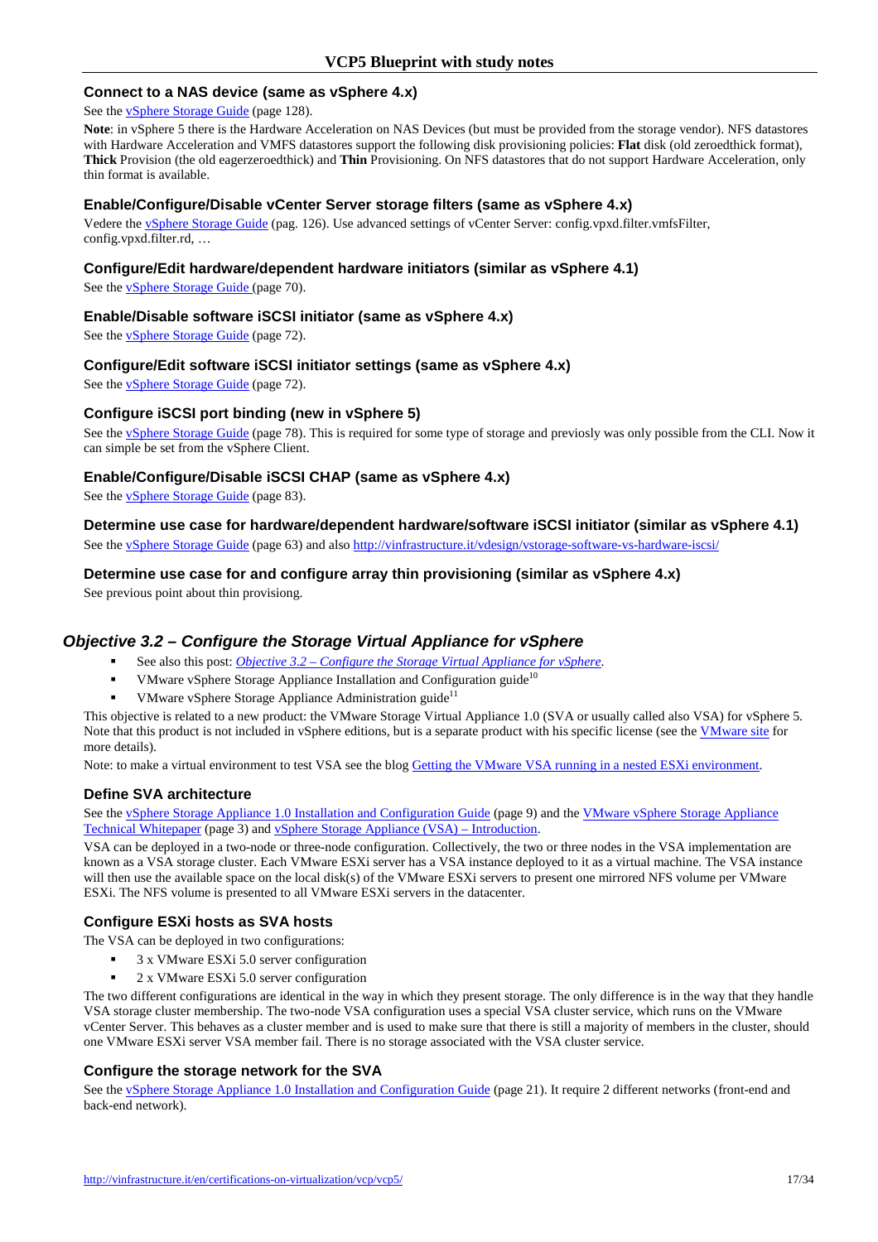#### **Connect to a NAS device (same as vSphere 4.x)**

See the vSphere Storage Guide (page 128).

**Note**: in vSphere 5 there is the Hardware Acceleration on NAS Devices (but must be provided from the storage vendor). NFS datastores with Hardware Acceleration and VMFS datastores support the following disk provisioning policies: **Flat** disk (old zeroedthick format), **Thick** Provision (the old eagerzeroedthick) and **Thin** Provisioning. On NFS datastores that do not support Hardware Acceleration, only thin format is available.

#### **Enable/Configure/Disable vCenter Server storage filters (same as vSphere 4.x)**

Vedere the vSphere Storage Guide (pag. 126). Use advanced settings of vCenter Server: config.vpxd.filter.vmfsFilter, config.vpxd.filter.rd, …

#### **Configure/Edit hardware/dependent hardware initiators (similar as vSphere 4.1)**

See the *ySphere Storage Guide* (page 70).

#### **Enable/Disable software iSCSI initiator (same as vSphere 4.x)**

See the vSphere Storage Guide (page 72).

#### **Configure/Edit software iSCSI initiator settings (same as vSphere 4.x)**

See the vSphere Storage Guide (page 72).

#### **Configure iSCSI port binding (new in vSphere 5)**

See the vSphere Storage Guide (page 78). This is required for some type of storage and previosly was only possible from the CLI. Now it can simple be set from the vSphere Client.

#### **Enable/Configure/Disable iSCSI CHAP (same as vSphere 4.x)**

See the vSphere Storage Guide (page 83).

### **Determine use case for hardware/dependent hardware/software iSCSI initiator (similar as vSphere 4.1)**

See the vSphere Storage Guide (page 63) and also http://vinfrastructure.it/vdesign/vstorage-software-vs-hardware-iscsi/

#### **Determine use case for and configure array thin provisioning (similar as vSphere 4.x)**

See previous point about thin provisiong.

## **Objective 3.2 – Configure the Storage Virtual Appliance for vSphere**

- See also this post: *Objective 3.2 Configure the Storage Virtual Appliance for vSphere*.
- VMware vSphere Storage Appliance Installation and Configuration guide $10$
- VMware vSphere Storage Appliance Administration guide<sup>11</sup>

This objective is related to a new product: the VMware Storage Virtual Appliance 1.0 (SVA or usually called also VSA) for vSphere 5. Note that this product is not included in vSphere editions, but is a separate product with his specific license (see the *VMware site* for more details).

Note: to make a virtual environment to test VSA see the blog Getting the VMware VSA running in a nested ESXi environment.

#### **Define SVA architecture**

See the vSphere Storage Appliance 1.0 Installation and Configuration Guide (page 9) and the VMware vSphere Storage Appliance Technical Whitepaper (page 3) and vSphere Storage Appliance (VSA) – Introduction.

VSA can be deployed in a two-node or three-node configuration. Collectively, the two or three nodes in the VSA implementation are known as a VSA storage cluster. Each VMware ESXi server has a VSA instance deployed to it as a virtual machine. The VSA instance will then use the available space on the local disk(s) of the VMware ESXi servers to present one mirrored NFS volume per VMware ESXi. The NFS volume is presented to all VMware ESXi servers in the datacenter.

#### **Configure ESXi hosts as SVA hosts**

The VSA can be deployed in two configurations:

- 3 x VMware ESXi 5.0 server configuration
- 2 x VMware ESXi 5.0 server configuration

The two different configurations are identical in the way in which they present storage. The only difference is in the way that they handle VSA storage cluster membership. The two-node VSA configuration uses a special VSA cluster service, which runs on the VMware vCenter Server. This behaves as a cluster member and is used to make sure that there is still a majority of members in the cluster, should one VMware ESXi server VSA member fail. There is no storage associated with the VSA cluster service.

### **Configure the storage network for the SVA**

See the vSphere Storage Appliance 1.0 Installation and Configuration Guide (page 21). It require 2 different networks (front-end and back-end network).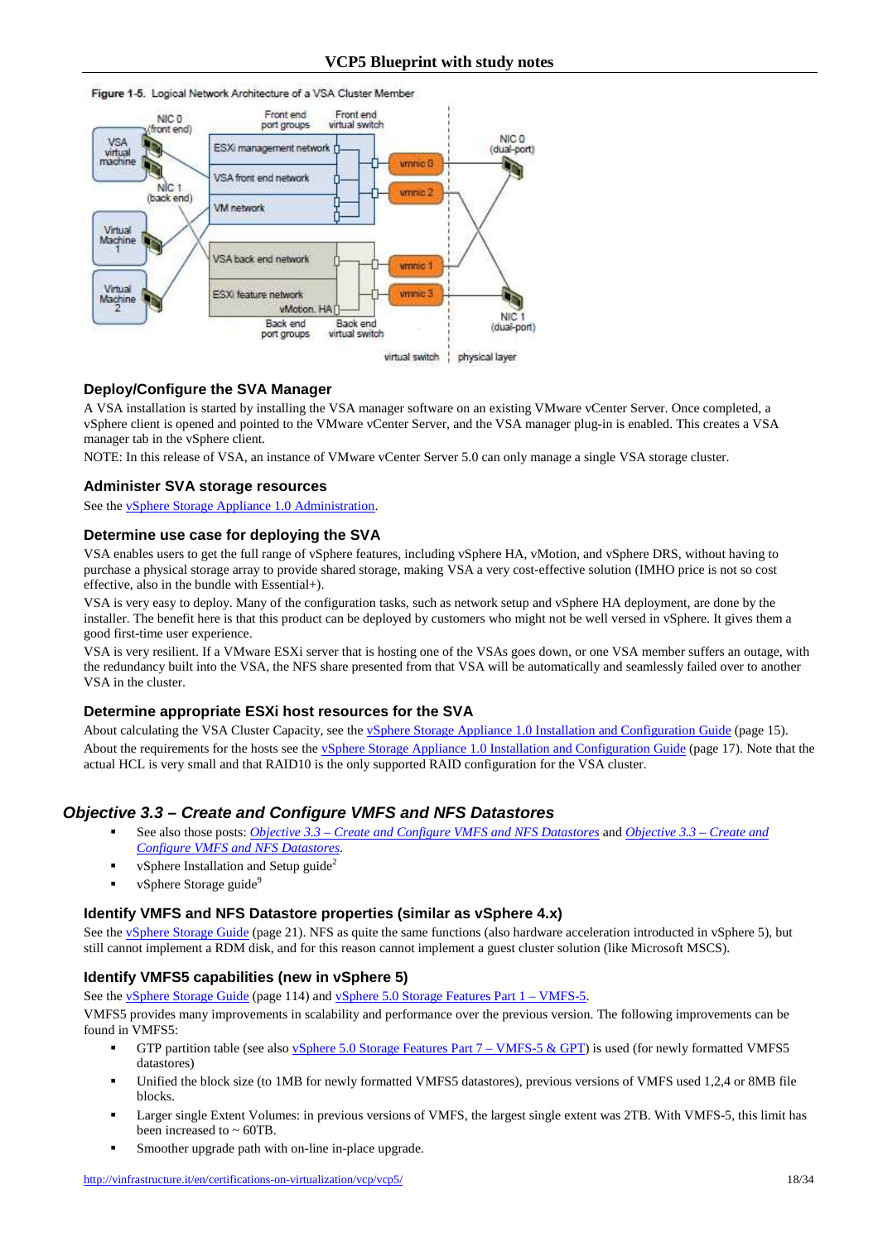

#### **Deploy/Configure the SVA Manager**

A VSA installation is started by installing the VSA manager software on an existing VMware vCenter Server. Once completed, a vSphere client is opened and pointed to the VMware vCenter Server, and the VSA manager plug-in is enabled. This creates a VSA manager tab in the vSphere client.

NOTE: In this release of VSA, an instance of VMware vCenter Server 5.0 can only manage a single VSA storage cluster.

#### **Administer SVA storage resources**

See the vSphere Storage Appliance 1.0 Administration.

#### **Determine use case for deploying the SVA**

VSA enables users to get the full range of vSphere features, including vSphere HA, vMotion, and vSphere DRS, without having to purchase a physical storage array to provide shared storage, making VSA a very cost-effective solution (IMHO price is not so cost effective, also in the bundle with Essential+).

VSA is very easy to deploy. Many of the configuration tasks, such as network setup and vSphere HA deployment, are done by the installer. The benefit here is that this product can be deployed by customers who might not be well versed in vSphere. It gives them a good first-time user experience.

VSA is very resilient. If a VMware ESXi server that is hosting one of the VSAs goes down, or one VSA member suffers an outage, with the redundancy built into the VSA, the NFS share presented from that VSA will be automatically and seamlessly failed over to another VSA in the cluster.

#### **Determine appropriate ESXi host resources for the SVA**

About calculating the VSA Cluster Capacity, see the **vSphere Storage Appliance 1.0 Installation and Configuration Guide** (page 15). About the requirements for the hosts see the **vSphere Storage Appliance 1.0 Installation and Configuration Guide** (page 17). Note that the actual HCL is very small and that RAID10 is the only supported RAID configuration for the VSA cluster.

## **Objective 3.3 – Create and Configure VMFS and NFS Datastores**

- See also those posts: *Objective 3.3 Create and Configure VMFS and NFS Datastores* and *Objective 3.3 Create and Configure VMFS and NFS Datastores*.
- vSphere Installation and Setup guide<sup>2</sup>
- vSphere Storage guide<sup>9</sup>

### **Identify VMFS and NFS Datastore properties (similar as vSphere 4.x)**

See the vSphere Storage Guide (page 21). NFS as quite the same functions (also hardware acceleration introducted in vSphere 5), but still cannot implement a RDM disk, and for this reason cannot implement a guest cluster solution (like Microsoft MSCS).

#### **Identify VMFS5 capabilities (new in vSphere 5)**

See the vSphere Storage Guide (page 114) and vSphere 5.0 Storage Features Part 1 – VMFS-5.

VMFS5 provides many improvements in scalability and performance over the previous version. The following improvements can be found in VMFS5:

- GTP partition table (see also vSphere 5.0 Storage Features Part  $7 VMFS-5$  & GPT) is used (for newly formatted VMFS5 datastores)
- Unified the block size (to 1MB for newly formatted VMFS5 datastores), previous versions of VMFS used 1,2,4 or 8MB file blocks.
- Larger single Extent Volumes: in previous versions of VMFS, the largest single extent was 2TB. With VMFS-5, this limit has been increased to  $\sim 60 \text{TB}$ .
- Smoother upgrade path with on-line in-place upgrade.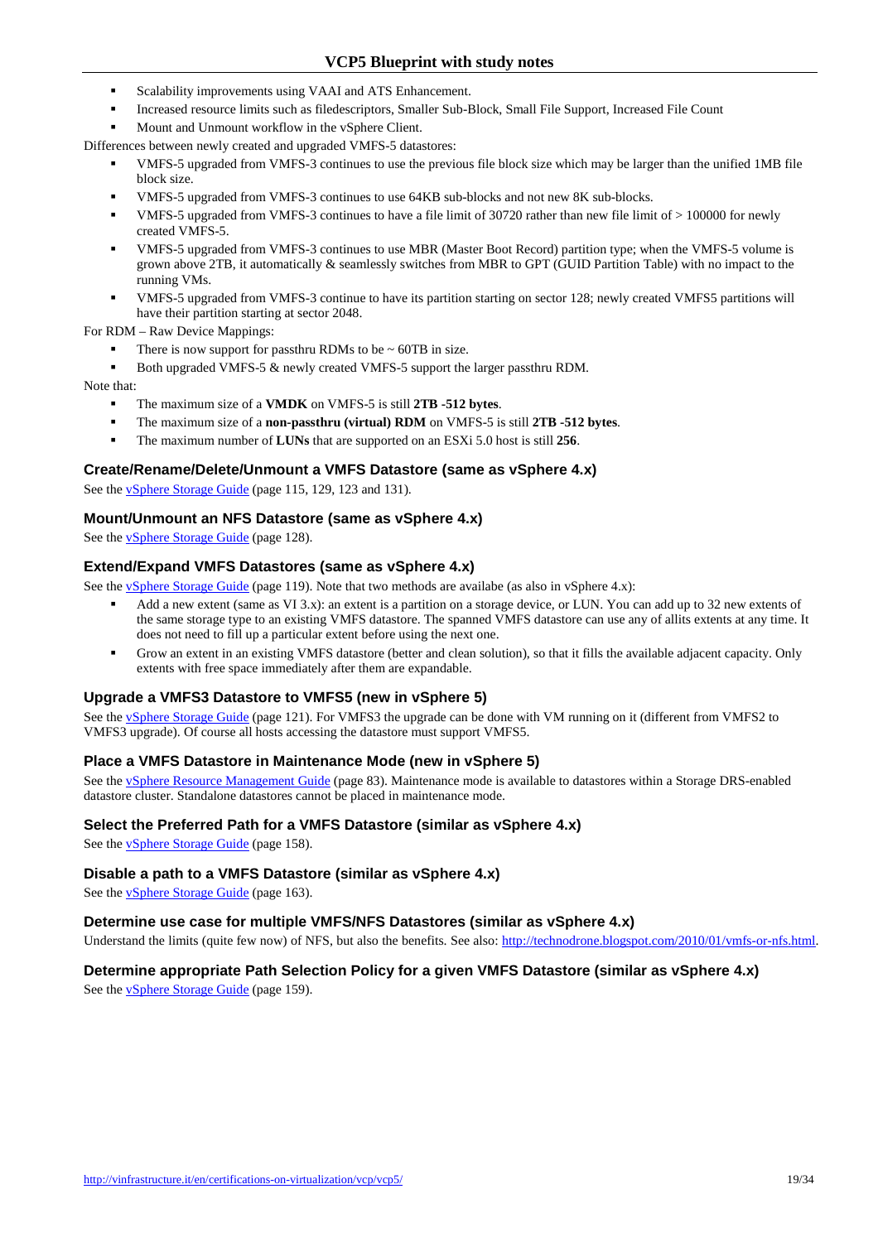- Scalability improvements using VAAI and ATS Enhancement.
- Increased resource limits such as filedescriptors, Smaller Sub-Block, Small File Support, Increased File Count
- Mount and Unmount workflow in the vSphere Client.
- Differences between newly created and upgraded VMFS-5 datastores:
	- VMFS-5 upgraded from VMFS-3 continues to use the previous file block size which may be larger than the unified 1MB file block size.
	- VMFS-5 upgraded from VMFS-3 continues to use 64KB sub-blocks and not new 8K sub-blocks.
	- VMFS-5 upgraded from VMFS-3 continues to have a file limit of 30720 rather than new file limit of > 100000 for newly created VMFS-5.
	- VMFS-5 upgraded from VMFS-3 continues to use MBR (Master Boot Record) partition type; when the VMFS-5 volume is grown above 2TB, it automatically & seamlessly switches from MBR to GPT (GUID Partition Table) with no impact to the running VMs.
	- VMFS-5 upgraded from VMFS-3 continue to have its partition starting on sector 128; newly created VMFS5 partitions will have their partition starting at sector 2048.

For RDM – Raw Device Mappings:

- There is now support for passthru RDMs to be  $\sim$  60TB in size.
- Both upgraded VMFS-5 & newly created VMFS-5 support the larger passthru RDM.

Note that:

- The maximum size of a **VMDK** on VMFS-5 is still **2TB -512 bytes**.
- The maximum size of a **non-passthru (virtual) RDM** on VMFS-5 is still **2TB -512 bytes**.
- The maximum number of **LUNs** that are supported on an ESXi 5.0 host is still **256**.

#### **Create/Rename/Delete/Unmount a VMFS Datastore (same as vSphere 4.x)**

See the vSphere Storage Guide (page 115, 129, 123 and 131).

#### **Mount/Unmount an NFS Datastore (same as vSphere 4.x)**

See the **vSphere Storage Guide** (page 128).

#### **Extend/Expand VMFS Datastores (same as vSphere 4.x)**

See the <u>vSphere Storage Guide</u> (page 119). Note that two methods are availabe (as also in vSphere 4.x):

- Add a new extent (same as VI 3.x): an extent is a partition on a storage device, or LUN. You can add up to 32 new extents of the same storage type to an existing VMFS datastore. The spanned VMFS datastore can use any of allits extents at any time. It does not need to fill up a particular extent before using the next one.
- Grow an extent in an existing VMFS datastore (better and clean solution), so that it fills the available adjacent capacity. Only extents with free space immediately after them are expandable.

#### **Upgrade a VMFS3 Datastore to VMFS5 (new in vSphere 5)**

See the vSphere Storage Guide (page 121). For VMFS3 the upgrade can be done with VM running on it (different from VMFS2 to VMFS3 upgrade). Of course all hosts accessing the datastore must support VMFS5.

#### **Place a VMFS Datastore in Maintenance Mode (new in vSphere 5)**

See the **vSphere Resource Management Guide** (page 83). Maintenance mode is available to datastores within a Storage DRS-enabled datastore cluster. Standalone datastores cannot be placed in maintenance mode.

#### **Select the Preferred Path for a VMFS Datastore (similar as vSphere 4.x)**

See the vSphere Storage Guide (page 158).

#### **Disable a path to a VMFS Datastore (similar as vSphere 4.x)**

See the **vSphere Storage Guide** (page 163).

#### **Determine use case for multiple VMFS/NFS Datastores (similar as vSphere 4.x)**

Understand the limits (quite few now) of NFS, but also the benefits. See also: http://technodrone.blogspot.com/2010/01/vmfs-or-nfs.html.

#### **Determine appropriate Path Selection Policy for a given VMFS Datastore (similar as vSphere 4.x)**

See the vSphere Storage Guide (page 159).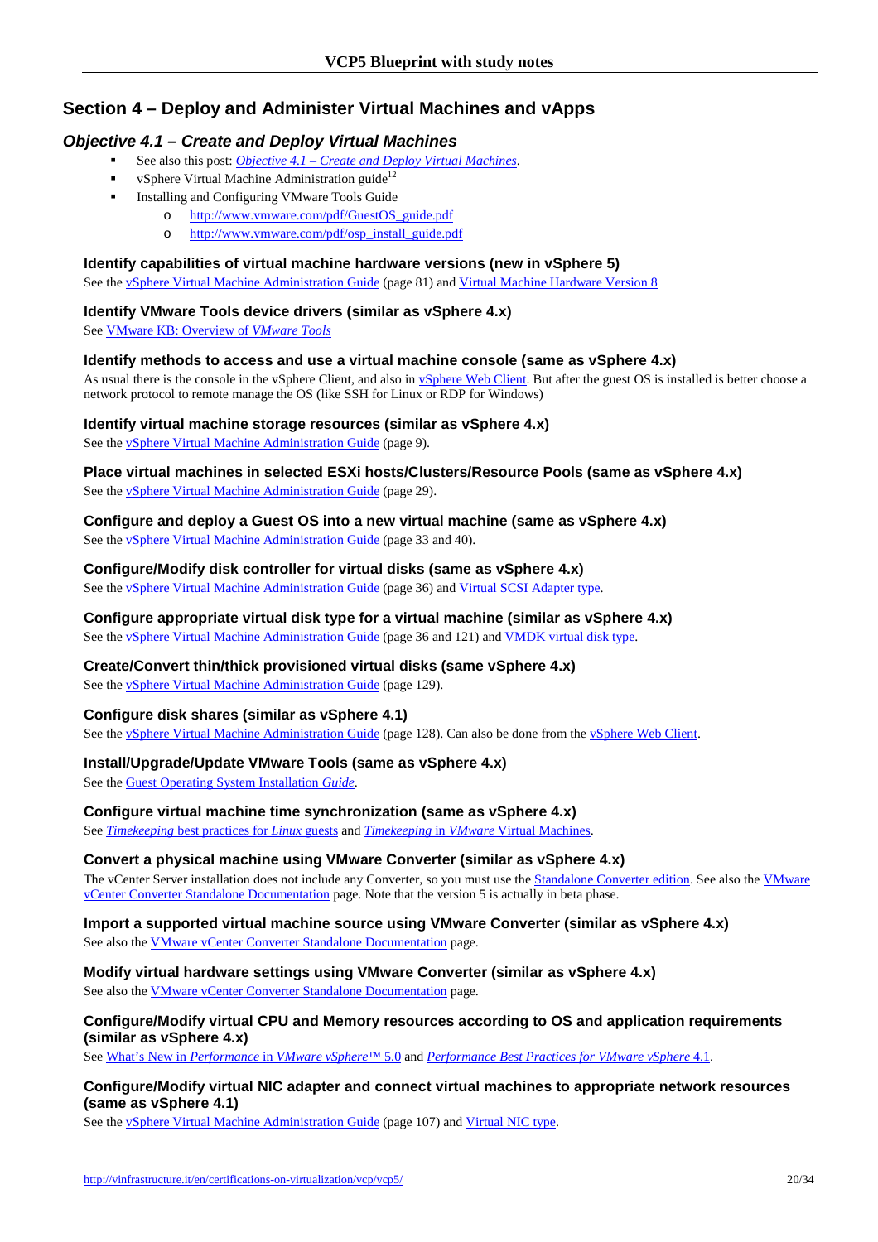# **Section 4 – Deploy and Administer Virtual Machines and vApps**

## **Objective 4.1 – Create and Deploy Virtual Machines**

- See also this post: *Objective 4.1 Create and Deploy Virtual Machines*.
- vSphere Virtual Machine Administration guide<sup>12</sup>
- **Installing and Configuring VMware Tools Guide** 
	- o http://www.vmware.com/pdf/GuestOS\_guide.pdf
	- o http://www.vmware.com/pdf/osp\_install\_guide.pdf

## **Identify capabilities of virtual machine hardware versions (new in vSphere 5)**

See the *vSphere Virtual Machine Administration Guide* (page 81) and *Virtual Machine Hardware Version 8* 

## **Identify VMware Tools device drivers (similar as vSphere 4.x)**

See VMware KB: Overview of *VMware Tools*

## **Identify methods to access and use a virtual machine console (same as vSphere 4.x)**

As usual there is the console in the vSphere Client, and also in vSphere Web Client. But after the guest OS is installed is better choose a network protocol to remote manage the OS (like SSH for Linux or RDP for Windows)

## **Identify virtual machine storage resources (similar as vSphere 4.x)**

See the vSphere Virtual Machine Administration Guide (page 9).

**Place virtual machines in selected ESXi hosts/Clusters/Resource Pools (same as vSphere 4.x)**  See the vSphere Virtual Machine Administration Guide (page 29).

### **Configure and deploy a Guest OS into a new virtual machine (same as vSphere 4.x)**  See the **v**Sphere Virtual Machine Administration Guide (page 33 and 40).

**Configure/Modify disk controller for virtual disks (same as vSphere 4.x)**  See the **vSphere Virtual Machine Administration Guide** (page 36) and Virtual SCSI Adapter type.

## **Configure appropriate virtual disk type for a virtual machine (similar as vSphere 4.x)**  See the vSphere Virtual Machine Administration Guide (page 36 and 121) and VMDK virtual disk type.

**Create/Convert thin/thick provisioned virtual disks (same vSphere 4.x)** 

See the **vSphere Virtual Machine Administration Guide** (page 129).

## **Configure disk shares (similar as vSphere 4.1)**

See the vSphere Virtual Machine Administration Guide (page 128). Can also be done from the vSphere Web Client.

## **Install/Upgrade/Update VMware Tools (same as vSphere 4.x)**

See the Guest Operating System Installation *Guide*.

## **Configure virtual machine time synchronization (same as vSphere 4.x)**

See *Timekeeping* best practices for *Linux* guests and *Timekeeping* in *VMware* Virtual Machines.

#### **Convert a physical machine using VMware Converter (similar as vSphere 4.x)**

The vCenter Server installation does not include any Converter, so you must use the **Standalone Converter edition**. See also the *VMware* vCenter Converter Standalone Documentation page. Note that the version 5 is actually in beta phase.

### **Import a supported virtual machine source using VMware Converter (similar as vSphere 4.x)**  See also the VMware vCenter Converter Standalone Documentation page.

## **Modify virtual hardware settings using VMware Converter (similar as vSphere 4.x)**

See also the VMware vCenter Converter Standalone Documentation page.

## **Configure/Modify virtual CPU and Memory resources according to OS and application requirements (similar as vSphere 4.x)**

See What's New in *Performance* in *VMware vSphere*™ 5.0 and *Performance Best Practices for VMware vSphere* 4.1.

## **Configure/Modify virtual NIC adapter and connect virtual machines to appropriate network resources (same as vSphere 4.1)**

See the vSphere Virtual Machine Administration Guide (page 107) and Virtual NIC type.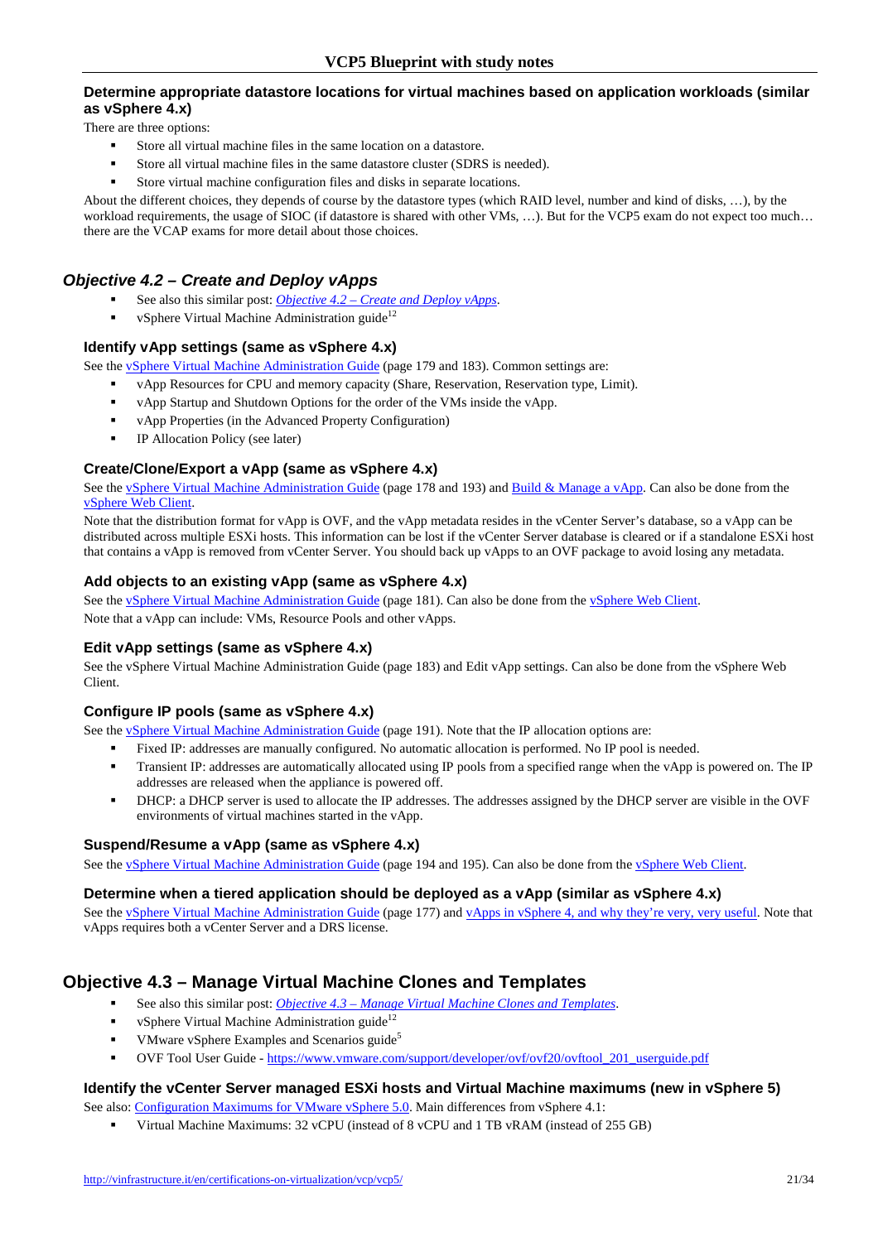## **Determine appropriate datastore locations for virtual machines based on application workloads (similar as vSphere 4.x)**

There are three options:

- Store all virtual machine files in the same location on a datastore.
- Store all virtual machine files in the same datastore cluster (SDRS is needed).
- Store virtual machine configuration files and disks in separate locations.

About the different choices, they depends of course by the datastore types (which RAID level, number and kind of disks, …), by the workload requirements, the usage of SIOC (if datastore is shared with other VMs, ...). But for the VCP5 exam do not expect too much... there are the VCAP exams for more detail about those choices.

## **Objective 4.2 – Create and Deploy vApps**

- See also this similar post: *Objective 4.2 Create and Deploy vApps*.
- vSphere Virtual Machine Administration guide<sup>12</sup>

## **Identify vApp settings (same as vSphere 4.x)**

See the **vSphere Virtual Machine Administration Guide** (page 179 and 183). Common settings are:

- vApp Resources for CPU and memory capacity (Share, Reservation, Reservation type, Limit).
- vApp Startup and Shutdown Options for the order of the VMs inside the vApp.
- vApp Properties (in the Advanced Property Configuration)
- **IP** Allocation Policy (see later)

## **Create/Clone/Export a vApp (same as vSphere 4.x)**

See the vSphere Virtual Machine Administration Guide (page 178 and 193) and Build & Manage a vApp. Can also be done from the vSphere Web Client.

Note that the distribution format for vApp is OVF, and the vApp metadata resides in the vCenter Server's database, so a vApp can be distributed across multiple ESXi hosts. This information can be lost if the vCenter Server database is cleared or if a standalone ESXi host that contains a vApp is removed from vCenter Server. You should back up vApps to an OVF package to avoid losing any metadata.

#### **Add objects to an existing vApp (same as vSphere 4.x)**

See the vSphere Virtual Machine Administration Guide (page 181). Can also be done from the vSphere Web Client. Note that a vApp can include: VMs, Resource Pools and other vApps.

#### **Edit vApp settings (same as vSphere 4.x)**

See the vSphere Virtual Machine Administration Guide (page 183) and Edit vApp settings. Can also be done from the vSphere Web Client.

## **Configure IP pools (same as vSphere 4.x)**

See the <u>vSphere Virtual Machine Administration Guide</u> (page 191). Note that the IP allocation options are:

- Fixed IP: addresses are manually configured. No automatic allocation is performed. No IP pool is needed.
- Transient IP: addresses are automatically allocated using IP pools from a specified range when the vApp is powered on. The IP addresses are released when the appliance is powered off.
- DHCP: a DHCP server is used to allocate the IP addresses. The addresses assigned by the DHCP server are visible in the OVF environments of virtual machines started in the vApp.

#### **Suspend/Resume a vApp (same as vSphere 4.x)**

See the vSphere Virtual Machine Administration Guide (page 194 and 195). Can also be done from the vSphere Web Client.

#### **Determine when a tiered application should be deployed as a vApp (similar as vSphere 4.x)**

See the vSphere Virtual Machine Administration Guide (page 177) and vApps in vSphere 4, and why they're very, very useful. Note that vApps requires both a vCenter Server and a DRS license.

# **Objective 4.3 – Manage Virtual Machine Clones and Templates**

- See also this similar post: *Objective 4.3 Manage Virtual Machine Clones and Templates*.
- vSphere Virtual Machine Administration guide<sup>12</sup>
- VMware vSphere Examples and Scenarios guide<sup>5</sup>
- OVF Tool User Guide https://www.vmware.com/support/developer/ovf/ovf20/ovftool\_201\_userguide.pdf

#### **Identify the vCenter Server managed ESXi hosts and Virtual Machine maximums (new in vSphere 5)**

- See also: Configuration Maximums for VMware vSphere 5.0. Main differences from vSphere 4.1:
	- Virtual Machine Maximums: 32 vCPU (instead of 8 vCPU and 1 TB vRAM (instead of 255 GB)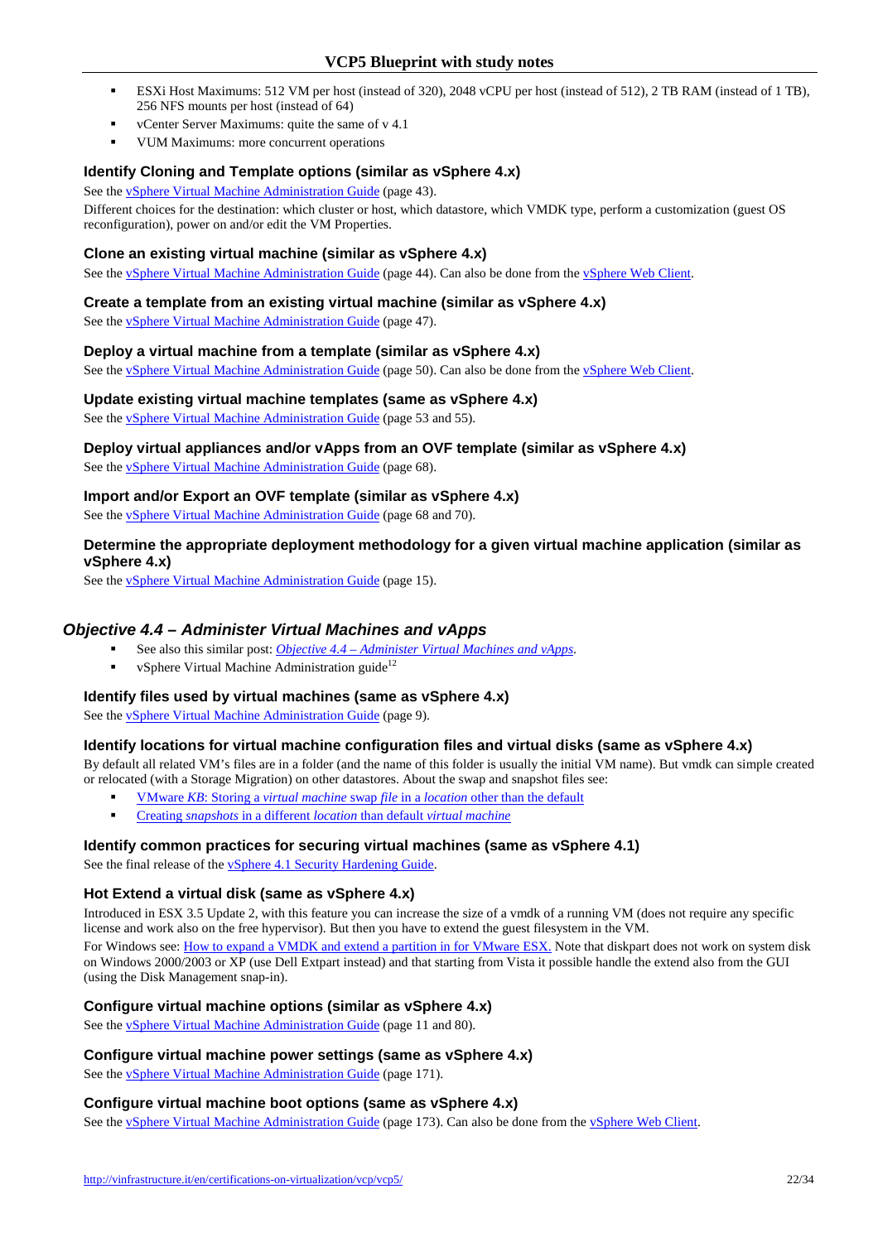- ESXi Host Maximums: 512 VM per host (instead of 320), 2048 vCPU per host (instead of 512), 2 TB RAM (instead of 1 TB), 256 NFS mounts per host (instead of 64)
- vCenter Server Maximums: quite the same of v 4.1
- VUM Maximums: more concurrent operations

### **Identify Cloning and Template options (similar as vSphere 4.x)**

See the vSphere Virtual Machine Administration Guide (page 43).

Different choices for the destination: which cluster or host, which datastore, which VMDK type, perform a customization (guest OS reconfiguration), power on and/or edit the VM Properties.

### **Clone an existing virtual machine (similar as vSphere 4.x)**

See the vSphere Virtual Machine Administration Guide (page 44). Can also be done from the vSphere Web Client.

#### **Create a template from an existing virtual machine (similar as vSphere 4.x)**

See the vSphere Virtual Machine Administration Guide (page 47).

#### **Deploy a virtual machine from a template (similar as vSphere 4.x)**

See the vSphere Virtual Machine Administration Guide (page 50). Can also be done from the vSphere Web Client.

#### **Update existing virtual machine templates (same as vSphere 4.x)**

See the vSphere Virtual Machine Administration Guide (page 53 and 55).

# **Deploy virtual appliances and/or vApps from an OVF template (similar as vSphere 4.x)**

See the vSphere Virtual Machine Administration Guide (page 68).

## **Import and/or Export an OVF template (similar as vSphere 4.x)**

See the vSphere Virtual Machine Administration Guide (page 68 and 70).

### **Determine the appropriate deployment methodology for a given virtual machine application (similar as vSphere 4.x)**

See the vSphere Virtual Machine Administration Guide (page 15).

## **Objective 4.4 – Administer Virtual Machines and vApps**

- See also this similar post: *Objective 4.4 Administer Virtual Machines and vApps*.
- vSphere Virtual Machine Administration guide<sup>12</sup>

## **Identify files used by virtual machines (same as vSphere 4.x)**

See the vSphere Virtual Machine Administration Guide (page 9).

## **Identify locations for virtual machine configuration files and virtual disks (same as vSphere 4.x)**

By default all related VM's files are in a folder (and the name of this folder is usually the initial VM name). But vmdk can simple created or relocated (with a Storage Migration) on other datastores. About the swap and snapshot files see:

- VMware *KB*: Storing a *virtual machine* swap *file* in a *location* other than the default
- Creating *snapshots* in a different *location* than default *virtual machine*

#### **Identify common practices for securing virtual machines (same as vSphere 4.1)**

See the final release of the vSphere 4.1 Security Hardening Guide.

#### **Hot Extend a virtual disk (same as vSphere 4.x)**

Introduced in ESX 3.5 Update 2, with this feature you can increase the size of a vmdk of a running VM (does not require any specific license and work also on the free hypervisor). But then you have to extend the guest filesystem in the VM. For Windows see: How to expand a VMDK and extend a partition in for VMware ESX. Note that diskpart does not work on system disk on Windows 2000/2003 or XP (use Dell Extpart instead) and that starting from Vista it possible handle the extend also from the GUI (using the Disk Management snap-in).

## **Configure virtual machine options (similar as vSphere 4.x)**

See the vSphere Virtual Machine Administration Guide (page 11 and 80).

#### **Configure virtual machine power settings (same as vSphere 4.x)**

See the *vSphere Virtual Machine Administration Guide* (page 171).

#### **Configure virtual machine boot options (same as vSphere 4.x)**

See the vSphere Virtual Machine Administration Guide (page 173). Can also be done from the vSphere Web Client.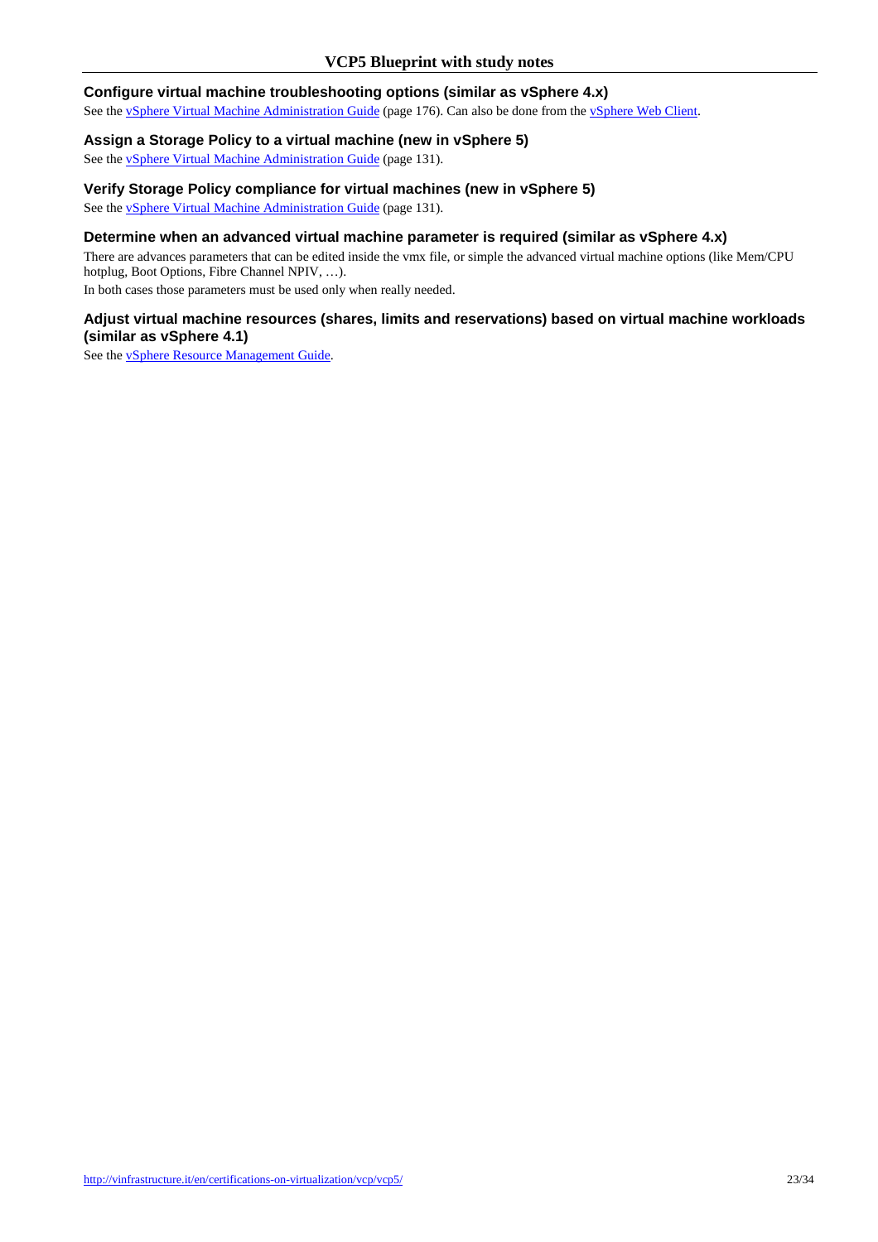#### **Configure virtual machine troubleshooting options (similar as vSphere 4.x)**

See the vSphere Virtual Machine Administration Guide (page 176). Can also be done from the vSphere Web Client.

#### **Assign a Storage Policy to a virtual machine (new in vSphere 5)**

See the vSphere Virtual Machine Administration Guide (page 131).

## **Verify Storage Policy compliance for virtual machines (new in vSphere 5)**

See the vSphere Virtual Machine Administration Guide (page 131).

## **Determine when an advanced virtual machine parameter is required (similar as vSphere 4.x)**

There are advances parameters that can be edited inside the vmx file, or simple the advanced virtual machine options (like Mem/CPU hotplug, Boot Options, Fibre Channel NPIV, …).

In both cases those parameters must be used only when really needed.

## **Adjust virtual machine resources (shares, limits and reservations) based on virtual machine workloads (similar as vSphere 4.1)**

See the vSphere Resource Management Guide.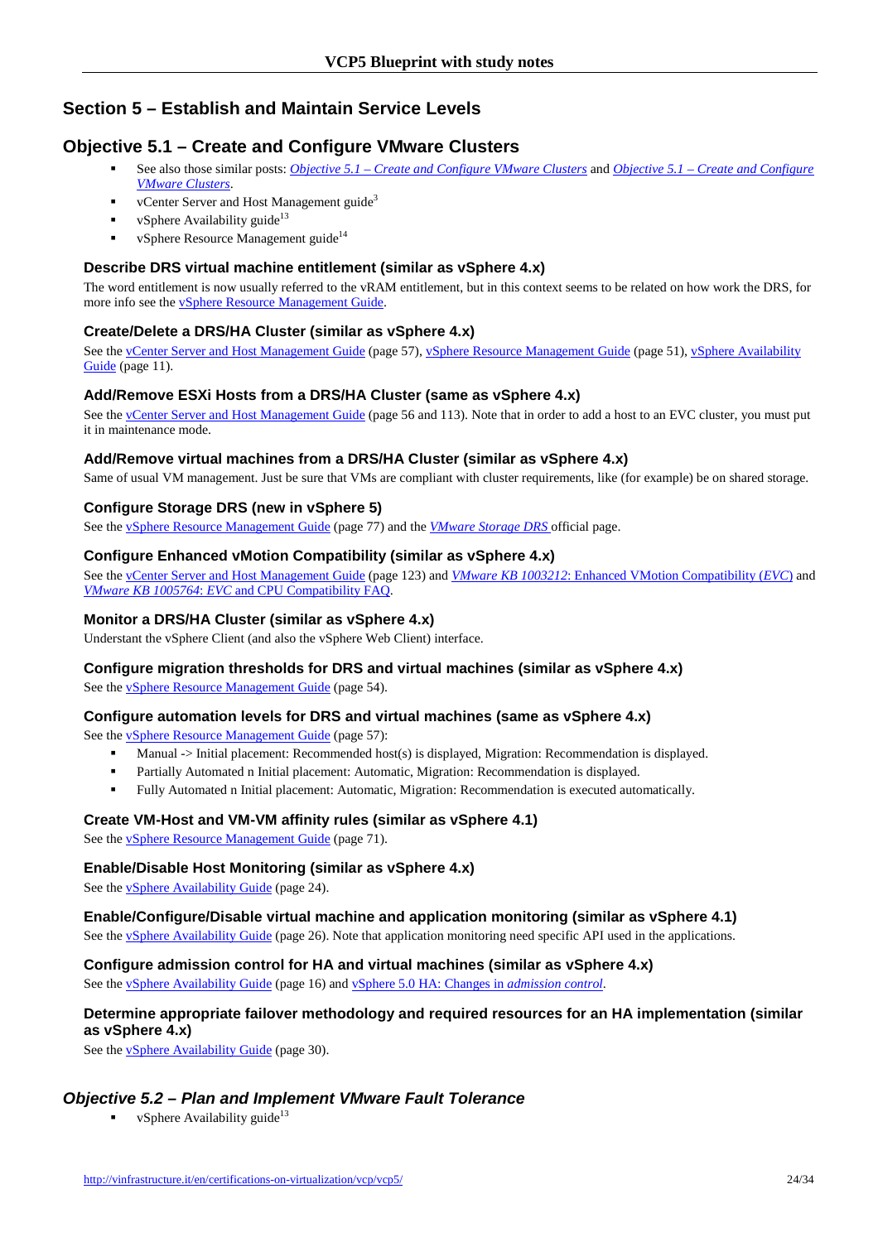# **Section 5 – Establish and Maintain Service Levels**

# **Objective 5.1 – Create and Configure VMware Clusters**

- See also those similar posts: *Objective 5.1 Create and Configure VMware Clusters* and *Objective 5.1 Create and Configure VMware Clusters*.
- vCenter Server and Host Management guide<sup>3</sup>
- vSphere Availability guide<sup>13</sup>
- vSphere Resource Management guide<sup>14</sup>

## **Describe DRS virtual machine entitlement (similar as vSphere 4.x)**

The word entitlement is now usually referred to the vRAM entitlement, but in this context seems to be related on how work the DRS, for more info see the vSphere Resource Management Guide.

## **Create/Delete a DRS/HA Cluster (similar as vSphere 4.x)**

See the vCenter Server and Host Management Guide (page 57), vSphere Resource Management Guide (page 51), vSphere Availability Guide (page 11).

## **Add/Remove ESXi Hosts from a DRS/HA Cluster (same as vSphere 4.x)**

See the vCenter Server and Host Management Guide (page 56 and 113). Note that in order to add a host to an EVC cluster, you must put it in maintenance mode.

## **Add/Remove virtual machines from a DRS/HA Cluster (similar as vSphere 4.x)**

Same of usual VM management. Just be sure that VMs are compliant with cluster requirements, like (for example) be on shared storage.

## **Configure Storage DRS (new in vSphere 5)**

See the vSphere Resource Management Guide (page 77) and the *VMware Storage DRS* official page.

## **Configure Enhanced vMotion Compatibility (similar as vSphere 4.x)**

See the vCenter Server and Host Management Guide (page 123) and *VMware KB 1003212*: Enhanced VMotion Compatibility (*EVC*) and *VMware KB 1005764*: *EVC* and CPU Compatibility FAQ.

### **Monitor a DRS/HA Cluster (similar as vSphere 4.x)**

Understant the vSphere Client (and also the vSphere Web Client) interface.

#### **Configure migration thresholds for DRS and virtual machines (similar as vSphere 4.x)**

See the vSphere Resource Management Guide (page 54).

#### **Configure automation levels for DRS and virtual machines (same as vSphere 4.x)**

See the vSphere Resource Management Guide (page 57):

- Manual -> Initial placement: Recommended host(s) is displayed, Migration: Recommendation is displayed.
- Partially Automated n Initial placement: Automatic, Migration: Recommendation is displayed.
- Fully Automated n Initial placement: Automatic, Migration: Recommendation is executed automatically.

#### **Create VM-Host and VM-VM affinity rules (similar as vSphere 4.1)**

See the vSphere Resource Management Guide (page 71).

#### **Enable/Disable Host Monitoring (similar as vSphere 4.x)**

See the vSphere Availability Guide (page 24).

#### **Enable/Configure/Disable virtual machine and application monitoring (similar as vSphere 4.1)**

See the vSphere Availability Guide (page 26). Note that application monitoring need specific API used in the applications.

#### **Configure admission control for HA and virtual machines (similar as vSphere 4.x)**

See the vSphere Availability Guide (page 16) and vSphere 5.0 HA: Changes in *admission control*.

## **Determine appropriate failover methodology and required resources for an HA implementation (similar as vSphere 4.x)**

See the **v**Sphere Availability Guide (page 30).

## **Objective 5.2 – Plan and Implement VMware Fault Tolerance**

vSphere Availability guide<sup>13</sup>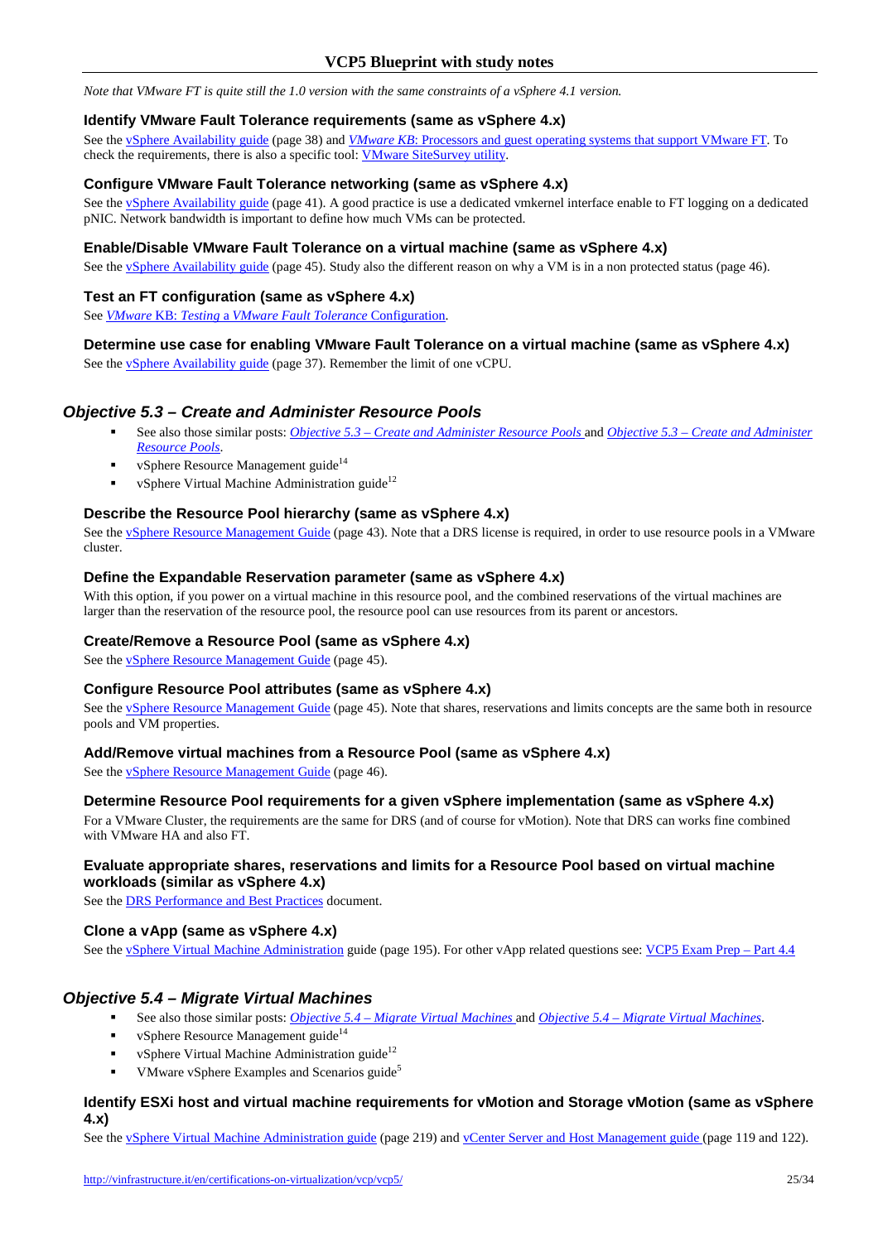*Note that VMware FT is quite still the 1.0 version with the same constraints of a vSphere 4.1 version.*

#### **Identify VMware Fault Tolerance requirements (same as vSphere 4.x)**

See the vSphere Availability guide (page 38) and *VMware KB*: Processors and guest operating systems that support VMware FT. To check the requirements, there is also a specific tool: VMware SiteSurvey utility.

#### **Configure VMware Fault Tolerance networking (same as vSphere 4.x)**

See the vSphere Availability guide (page 41). A good practice is use a dedicated vmkernel interface enable to FT logging on a dedicated pNIC. Network bandwidth is important to define how much VMs can be protected.

#### **Enable/Disable VMware Fault Tolerance on a virtual machine (same as vSphere 4.x)**

See the vSphere Availability guide (page 45). Study also the different reason on why a VM is in a non protected status (page 46).

#### **Test an FT configuration (same as vSphere 4.x)**

See *VMware* KB: *Testing* a *VMware Fault Tolerance* Configuration.

#### **Determine use case for enabling VMware Fault Tolerance on a virtual machine (same as vSphere 4.x)**

See the **vSphere Availability guide** (page 37). Remember the limit of one vCPU.

#### **Objective 5.3 – Create and Administer Resource Pools**

- See also those similar posts: *Objective 5.3 Create and Administer Resource Pools* and *Objective 5.3 Create and Administer Resource Pools*.
- vSphere Resource Management guide<sup>14</sup>
- vSphere Virtual Machine Administration guide<sup>12</sup>

#### **Describe the Resource Pool hierarchy (same as vSphere 4.x)**

See the vSphere Resource Management Guide (page 43). Note that a DRS license is required, in order to use resource pools in a VMware cluster.

### **Define the Expandable Reservation parameter (same as vSphere 4.x)**

With this option, if you power on a virtual machine in this resource pool, and the combined reservations of the virtual machines are larger than the reservation of the resource pool, the resource pool can use resources from its parent or ancestors.

#### **Create/Remove a Resource Pool (same as vSphere 4.x)**

See the **vSphere Resource Management Guide** (page 45).

#### **Configure Resource Pool attributes (same as vSphere 4.x)**

See the vSphere Resource Management Guide (page 45). Note that shares, reservations and limits concepts are the same both in resource pools and VM properties.

#### **Add/Remove virtual machines from a Resource Pool (same as vSphere 4.x)**

See the vSphere Resource Management Guide (page 46).

### **Determine Resource Pool requirements for a given vSphere implementation (same as vSphere 4.x)**

For a VMware Cluster, the requirements are the same for DRS (and of course for vMotion). Note that DRS can works fine combined with VMware HA and also FT.

#### **Evaluate appropriate shares, reservations and limits for a Resource Pool based on virtual machine workloads (similar as vSphere 4.x)**

See the DRS Performance and Best Practices document.

#### **Clone a vApp (same as vSphere 4.x)**

See the vSphere Virtual Machine Administration guide (page 195). For other vApp related questions see: VCP5 Exam Prep – Part 4.4

## **Objective 5.4 – Migrate Virtual Machines**

- See also those similar posts: *Objective 5.4 Migrate Virtual Machines* and *Objective 5.4 Migrate Virtual Machines*.
- vSphere Resource Management guide<sup>14</sup>
- vSphere Virtual Machine Administration guide<sup>12</sup>
- VMware vSphere Examples and Scenarios guide<sup>5</sup>

#### **Identify ESXi host and virtual machine requirements for vMotion and Storage vMotion (same as vSphere 4.x)**

See the *vSphere Virtual Machine Administration guide* (page 219) and *vCenter Server and Host Management guide* (page 119 and 122).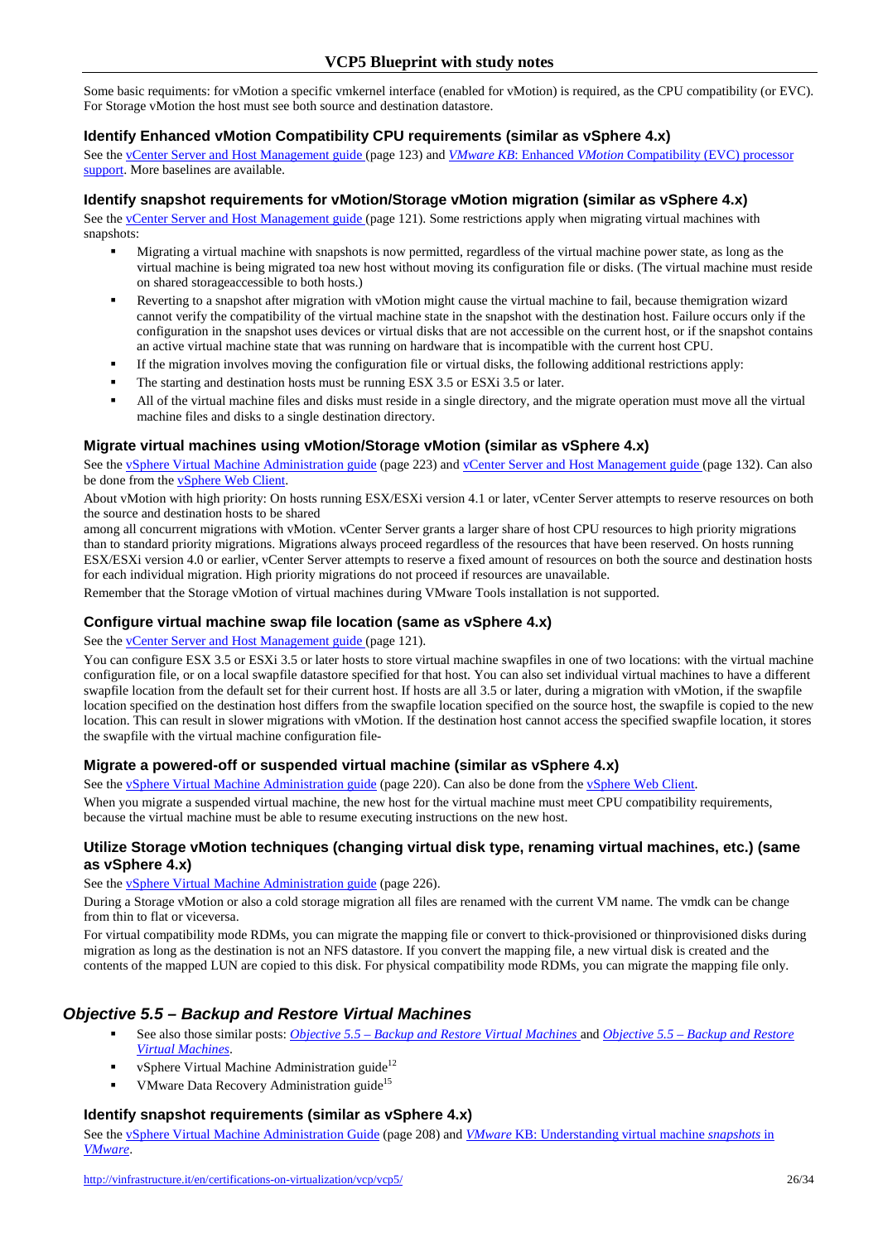Some basic requiments: for vMotion a specific vmkernel interface (enabled for vMotion) is required, as the CPU compatibility (or EVC). For Storage vMotion the host must see both source and destination datastore.

#### **Identify Enhanced vMotion Compatibility CPU requirements (similar as vSphere 4.x)**

See the vCenter Server and Host Management guide (page 123) and *VMware KB*: Enhanced *VMotion* Compatibility (EVC) processor support. More baselines are available.

#### **Identify snapshot requirements for vMotion/Storage vMotion migration (similar as vSphere 4.x)**

See the vCenter Server and Host Management guide (page 121). Some restrictions apply when migrating virtual machines with snapshots:

- Migrating a virtual machine with snapshots is now permitted, regardless of the virtual machine power state, as long as the virtual machine is being migrated toa new host without moving its configuration file or disks. (The virtual machine must reside on shared storageaccessible to both hosts.)
- Reverting to a snapshot after migration with vMotion might cause the virtual machine to fail, because themigration wizard cannot verify the compatibility of the virtual machine state in the snapshot with the destination host. Failure occurs only if the configuration in the snapshot uses devices or virtual disks that are not accessible on the current host, or if the snapshot contains an active virtual machine state that was running on hardware that is incompatible with the current host CPU.
- If the migration involves moving the configuration file or virtual disks, the following additional restrictions apply:
- The starting and destination hosts must be running ESX 3.5 or ESXi 3.5 or later.
- All of the virtual machine files and disks must reside in a single directory, and the migrate operation must move all the virtual machine files and disks to a single destination directory.

#### **Migrate virtual machines using vMotion/Storage vMotion (similar as vSphere 4.x)**

See the vSphere Virtual Machine Administration guide (page 223) and vCenter Server and Host Management guide (page 132). Can also be done from the vSphere Web Client.

About vMotion with high priority: On hosts running ESX/ESXi version 4.1 or later, vCenter Server attempts to reserve resources on both the source and destination hosts to be shared

among all concurrent migrations with vMotion. vCenter Server grants a larger share of host CPU resources to high priority migrations than to standard priority migrations. Migrations always proceed regardless of the resources that have been reserved. On hosts running ESX/ESXi version 4.0 or earlier, vCenter Server attempts to reserve a fixed amount of resources on both the source and destination hosts for each individual migration. High priority migrations do not proceed if resources are unavailable.

Remember that the Storage vMotion of virtual machines during VMware Tools installation is not supported.

#### **Configure virtual machine swap file location (same as vSphere 4.x)**

See the vCenter Server and Host Management guide (page 121).

You can configure ESX 3.5 or ESXi 3.5 or later hosts to store virtual machine swapfiles in one of two locations: with the virtual machine configuration file, or on a local swapfile datastore specified for that host. You can also set individual virtual machines to have a different swapfile location from the default set for their current host. If hosts are all 3.5 or later, during a migration with vMotion, if the swapfile location specified on the destination host differs from the swapfile location specified on the source host, the swapfile is copied to the new location. This can result in slower migrations with vMotion. If the destination host cannot access the specified swapfile location, it stores the swapfile with the virtual machine configuration file-

#### **Migrate a powered-off or suspended virtual machine (similar as vSphere 4.x)**

See the vSphere Virtual Machine Administration guide (page 220). Can also be done from the vSphere Web Client.

When you migrate a suspended virtual machine, the new host for the virtual machine must meet CPU compatibility requirements, because the virtual machine must be able to resume executing instructions on the new host.

#### **Utilize Storage vMotion techniques (changing virtual disk type, renaming virtual machines, etc.) (same as vSphere 4.x)**

#### See the **vSphere Virtual Machine Administration guide** (page 226).

During a Storage vMotion or also a cold storage migration all files are renamed with the current VM name. The vmdk can be change from thin to flat or viceversa.

For virtual compatibility mode RDMs, you can migrate the mapping file or convert to thick-provisioned or thinprovisioned disks during migration as long as the destination is not an NFS datastore. If you convert the mapping file, a new virtual disk is created and the contents of the mapped LUN are copied to this disk. For physical compatibility mode RDMs, you can migrate the mapping file only.

## **Objective 5.5 – Backup and Restore Virtual Machines**

- See also those similar posts: *Objective 5.5 Backup and Restore Virtual Machines* and *Objective 5.5 Backup and Restore Virtual Machines*.
- vSphere Virtual Machine Administration guide<sup>12</sup>
- VMware Data Recovery Administration guide<sup>15</sup>

#### **Identify snapshot requirements (similar as vSphere 4.x)**

See the vSphere Virtual Machine Administration Guide (page 208) and *VMware* KB: Understanding virtual machine *snapshots* in *VMware*.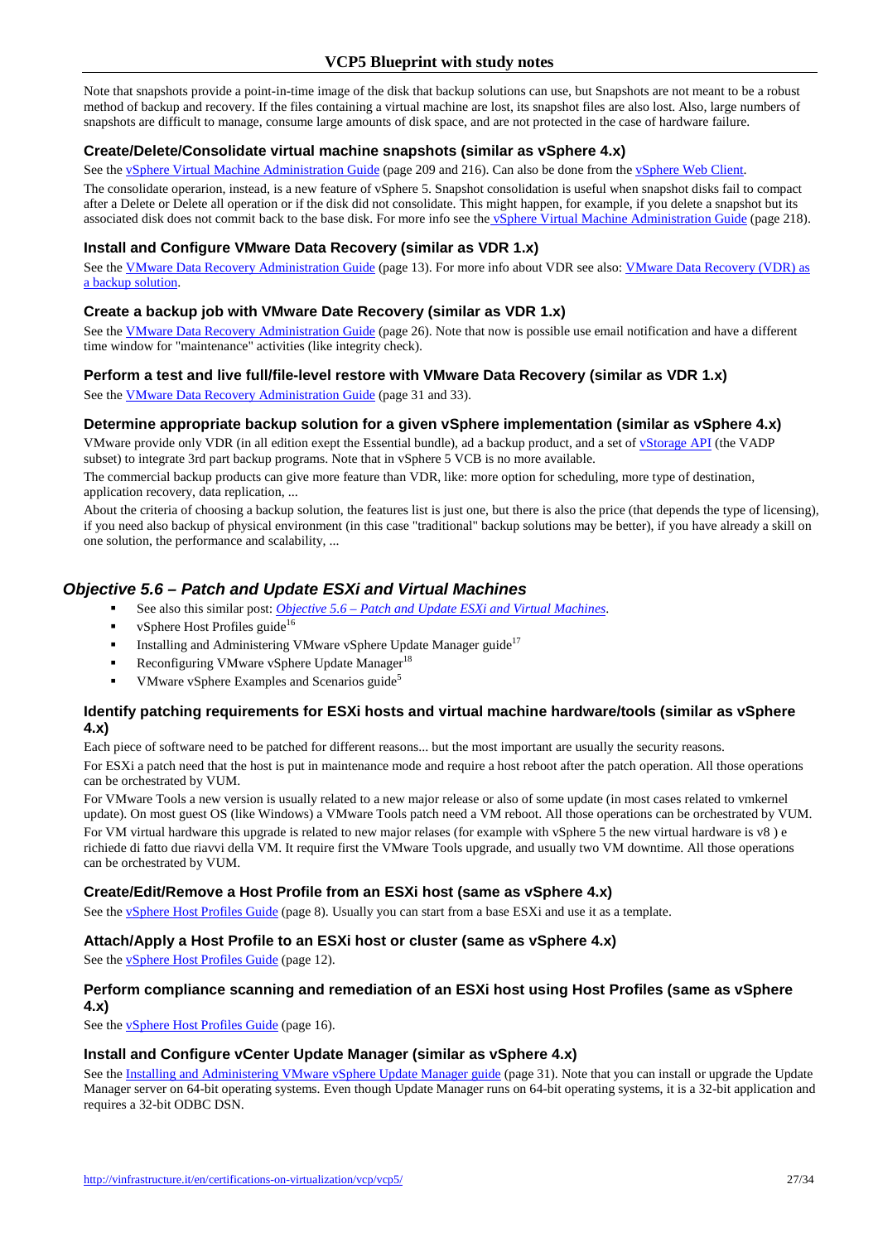Note that snapshots provide a point-in-time image of the disk that backup solutions can use, but Snapshots are not meant to be a robust method of backup and recovery. If the files containing a virtual machine are lost, its snapshot files are also lost. Also, large numbers of snapshots are difficult to manage, consume large amounts of disk space, and are not protected in the case of hardware failure.

## **Create/Delete/Consolidate virtual machine snapshots (similar as vSphere 4.x)**

See the vSphere Virtual Machine Administration Guide (page 209 and 216). Can also be done from the vSphere Web Client.

The consolidate operarion, instead, is a new feature of vSphere 5. Snapshot consolidation is useful when snapshot disks fail to compact after a Delete or Delete all operation or if the disk did not consolidate. This might happen, for example, if you delete a snapshot but its associated disk does not commit back to the base disk. For more info see the vSphere Virtual Machine Administration Guide (page 218).

## **Install and Configure VMware Data Recovery (similar as VDR 1.x)**

See the VMware Data Recovery Administration Guide (page 13). For more info about VDR see also: VMware Data Recovery (VDR) as a backup solution.

#### **Create a backup job with VMware Date Recovery (similar as VDR 1.x)**

See the VMware Data Recovery Administration Guide (page 26). Note that now is possible use email notification and have a different time window for "maintenance" activities (like integrity check).

## **Perform a test and live full/file-level restore with VMware Data Recovery (similar as VDR 1.x)**

See the VMware Data Recovery Administration Guide (page 31 and 33).

## **Determine appropriate backup solution for a given vSphere implementation (similar as vSphere 4.x)**

VMware provide only VDR (in all edition exept the Essential bundle), ad a backup product, and a set of vStorage API (the VADP subset) to integrate 3rd part backup programs. Note that in vSphere 5 VCB is no more available.

The commercial backup products can give more feature than VDR, like: more option for scheduling, more type of destination, application recovery, data replication, ...

About the criteria of choosing a backup solution, the features list is just one, but there is also the price (that depends the type of licensing), if you need also backup of physical environment (in this case "traditional" backup solutions may be better), if you have already a skill on one solution, the performance and scalability, ...

# **Objective 5.6 – Patch and Update ESXi and Virtual Machines**

- See also this similar post: *Objective 5.6 Patch and Update ESXi and Virtual Machines*.
- vSphere Host Profiles guide<sup>16</sup>
- **Installing and Administering VMware vSphere Update Manager guide**<sup>17</sup>
- Reconfiguring VMware vSphere Update Manager $^{18}$
- VMware vSphere Examples and Scenarios guide<sup>5</sup>

## **Identify patching requirements for ESXi hosts and virtual machine hardware/tools (similar as vSphere 4.x)**

Each piece of software need to be patched for different reasons... but the most important are usually the security reasons. For ESXi a patch need that the host is put in maintenance mode and require a host reboot after the patch operation. All those operations can be orchestrated by VUM.

For VMware Tools a new version is usually related to a new major release or also of some update (in most cases related to vmkernel update). On most guest OS (like Windows) a VMware Tools patch need a VM reboot. All those operations can be orchestrated by VUM.

For VM virtual hardware this upgrade is related to new major relases (for example with vSphere 5 the new virtual hardware is v8) e richiede di fatto due riavvi della VM. It require first the VMware Tools upgrade, and usually two VM downtime. All those operations can be orchestrated by VUM.

## **Create/Edit/Remove a Host Profile from an ESXi host (same as vSphere 4.x)**

See the **vSphere Host Profiles Guide** (page 8). Usually you can start from a base ESXi and use it as a template.

#### **Attach/Apply a Host Profile to an ESXi host or cluster (same as vSphere 4.x)**

See the vSphere Host Profiles Guide (page 12).

# **Perform compliance scanning and remediation of an ESXi host using Host Profiles (same as vSphere**

**4.x)** 

See the vSphere Host Profiles Guide (page 16).

#### **Install and Configure vCenter Update Manager (similar as vSphere 4.x)**

See the Installing and Administering VMware vSphere Update Manager guide (page 31). Note that you can install or upgrade the Update Manager server on 64-bit operating systems. Even though Update Manager runs on 64-bit operating systems, it is a 32-bit application and requires a 32-bit ODBC DSN.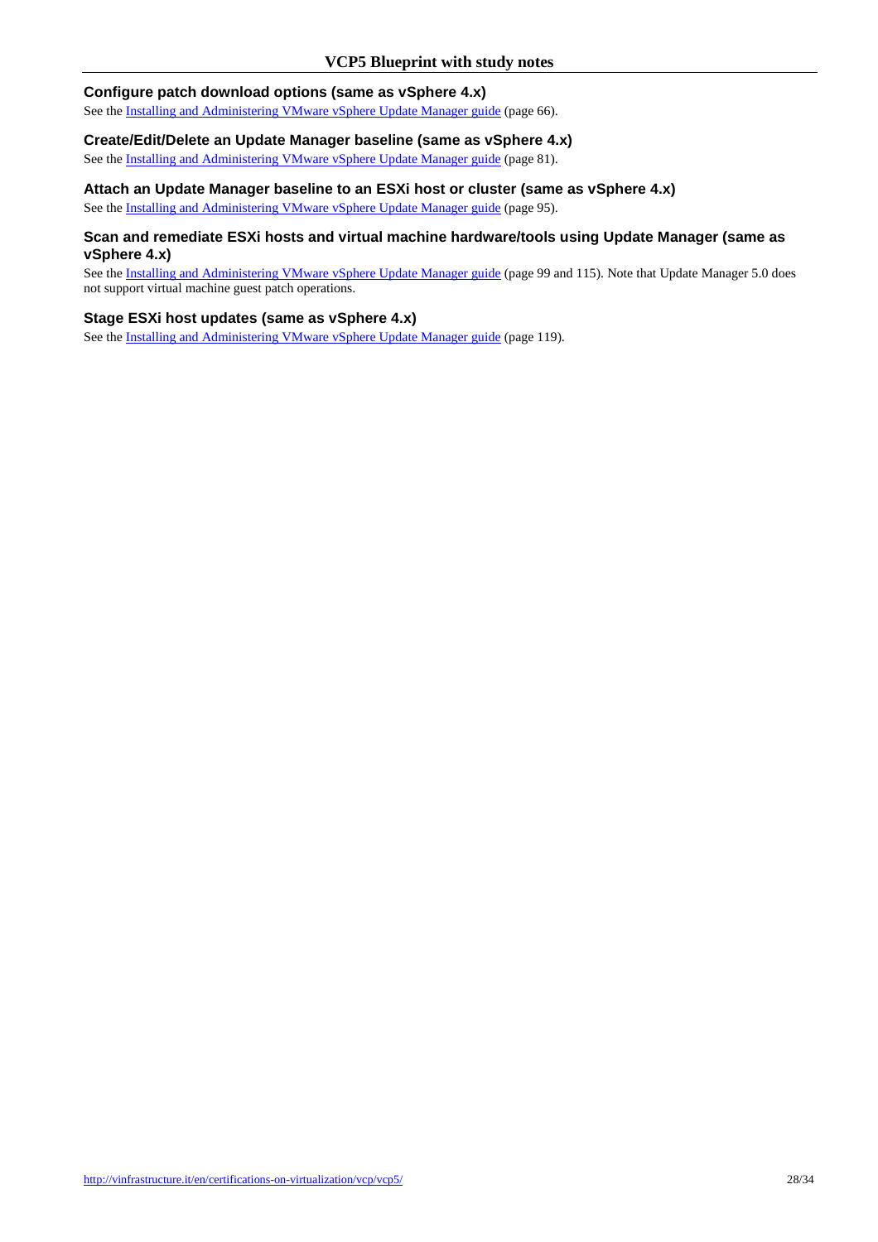### **Configure patch download options (same as vSphere 4.x)**

See the Installing and Administering VMware vSphere Update Manager guide (page 66).

#### **Create/Edit/Delete an Update Manager baseline (same as vSphere 4.x)**

See the Installing and Administering VMware vSphere Update Manager guide (page 81).

## **Attach an Update Manager baseline to an ESXi host or cluster (same as vSphere 4.x)**

See the Installing and Administering VMware vSphere Update Manager guide (page 95).

#### **Scan and remediate ESXi hosts and virtual machine hardware/tools using Update Manager (same as vSphere 4.x)**

See the Installing and Administering VMware vSphere Update Manager guide (page 99 and 115). Note that Update Manager 5.0 does not support virtual machine guest patch operations.

## **Stage ESXi host updates (same as vSphere 4.x)**

See the Installing and Administering VMware vSphere Update Manager guide (page 119).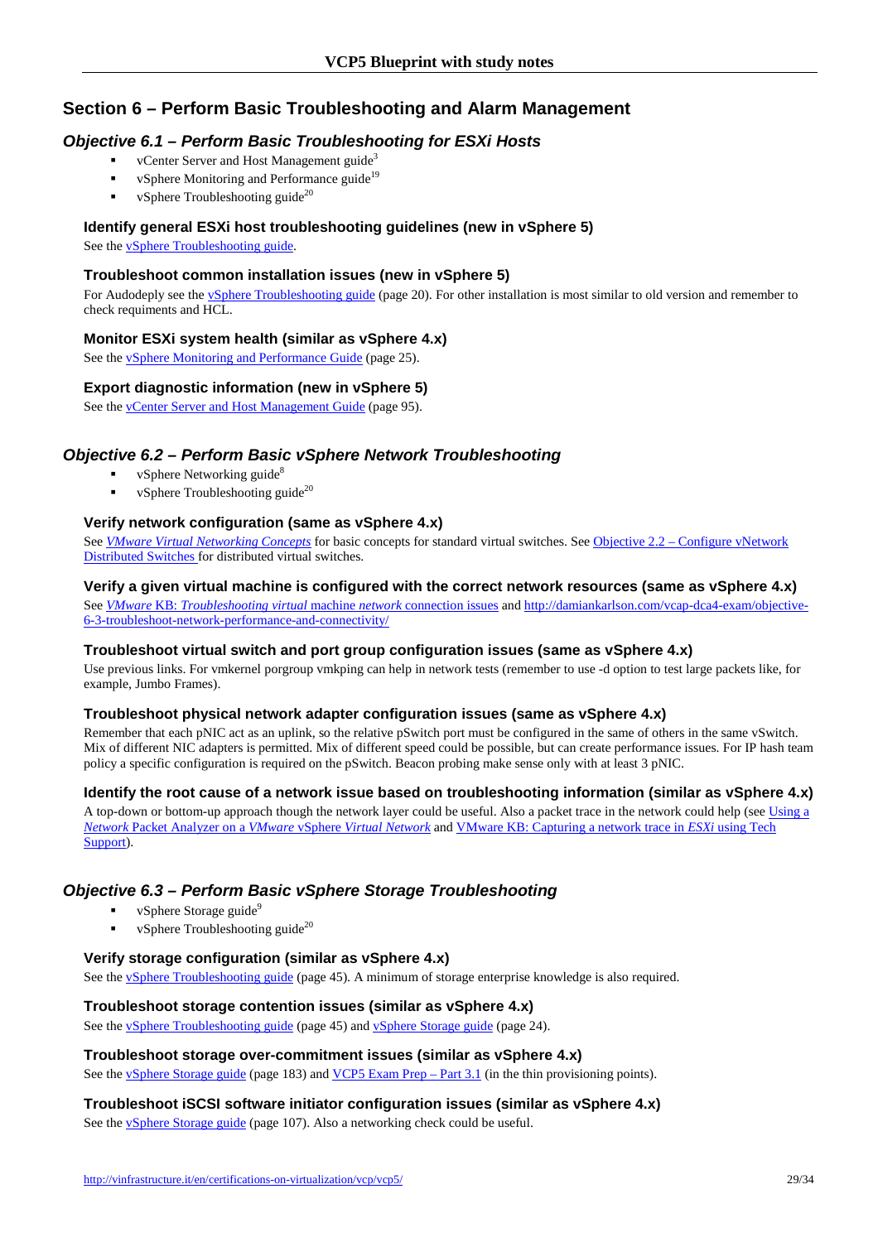# **Section 6 – Perform Basic Troubleshooting and Alarm Management**

# **Objective 6.1 – Perform Basic Troubleshooting for ESXi Hosts**

- vCenter Server and Host Management guide<sup>3</sup>
- vSphere Monitoring and Performance guide<sup>19</sup>
- vSphere Troubleshooting guide<sup>20</sup>

## **Identify general ESXi host troubleshooting guidelines (new in vSphere 5)**

See the vSphere Troubleshooting guide.

## **Troubleshoot common installation issues (new in vSphere 5)**

For Audodeply see the vSphere Troubleshooting guide (page 20). For other installation is most similar to old version and remember to check requiments and HCL.

## **Monitor ESXi system health (similar as vSphere 4.x)**

See the *ySphere Monitoring and Performance Guide* (page 25).

## **Export diagnostic information (new in vSphere 5)**

See the vCenter Server and Host Management Guide (page 95).

# **Objective 6.2 – Perform Basic vSphere Network Troubleshooting**

- vSphere Networking guide<sup>8</sup>
- vSphere Troubleshooting guide $^{20}$

## **Verify network configuration (same as vSphere 4.x)**

See *VMware Virtual Networking Concepts* for basic concepts for standard virtual switches. See Objective 2.2 – Configure vNetwork Distributed Switches for distributed virtual switches.

## **Verify a given virtual machine is configured with the correct network resources (same as vSphere 4.x)**

See *VMware* KB: *Troubleshooting virtual* machine *network* connection issues and http://damiankarlson.com/vcap-dca4-exam/objective-6-3-troubleshoot-network-performance-and-connectivity/

#### **Troubleshoot virtual switch and port group configuration issues (same as vSphere 4.x)**

Use previous links. For vmkernel porgroup vmkping can help in network tests (remember to use -d option to test large packets like, for example, Jumbo Frames).

## **Troubleshoot physical network adapter configuration issues (same as vSphere 4.x)**

Remember that each pNIC act as an uplink, so the relative pSwitch port must be configured in the same of others in the same vSwitch. Mix of different NIC adapters is permitted. Mix of different speed could be possible, but can create performance issues. For IP hash team policy a specific configuration is required on the pSwitch. Beacon probing make sense only with at least 3 pNIC.

## **Identify the root cause of a network issue based on troubleshooting information (similar as vSphere 4.x)**

A top-down or bottom-up approach though the network layer could be useful. Also a packet trace in the network could help (see Using a *Network* Packet Analyzer on a *VMware* vSphere *Virtual Network* and VMware KB: Capturing a network trace in *ESXi* using Tech Support).

# **Objective 6.3 – Perform Basic vSphere Storage Troubleshooting**

- vSphere Storage guide<sup>9</sup>
- vSphere Troubleshooting guide<sup>20</sup>

### **Verify storage configuration (similar as vSphere 4.x)**

See the vSphere Troubleshooting guide (page 45). A minimum of storage enterprise knowledge is also required.

## **Troubleshoot storage contention issues (similar as vSphere 4.x)**

See the vSphere Troubleshooting guide (page 45) and vSphere Storage guide (page 24).

## **Troubleshoot storage over-commitment issues (similar as vSphere 4.x)**

See the vSphere Storage guide (page 183) and VCP5 Exam Prep – Part 3.1 (in the thin provisioning points).

## **Troubleshoot iSCSI software initiator configuration issues (similar as vSphere 4.x)**

See the vSphere Storage guide (page 107). Also a networking check could be useful.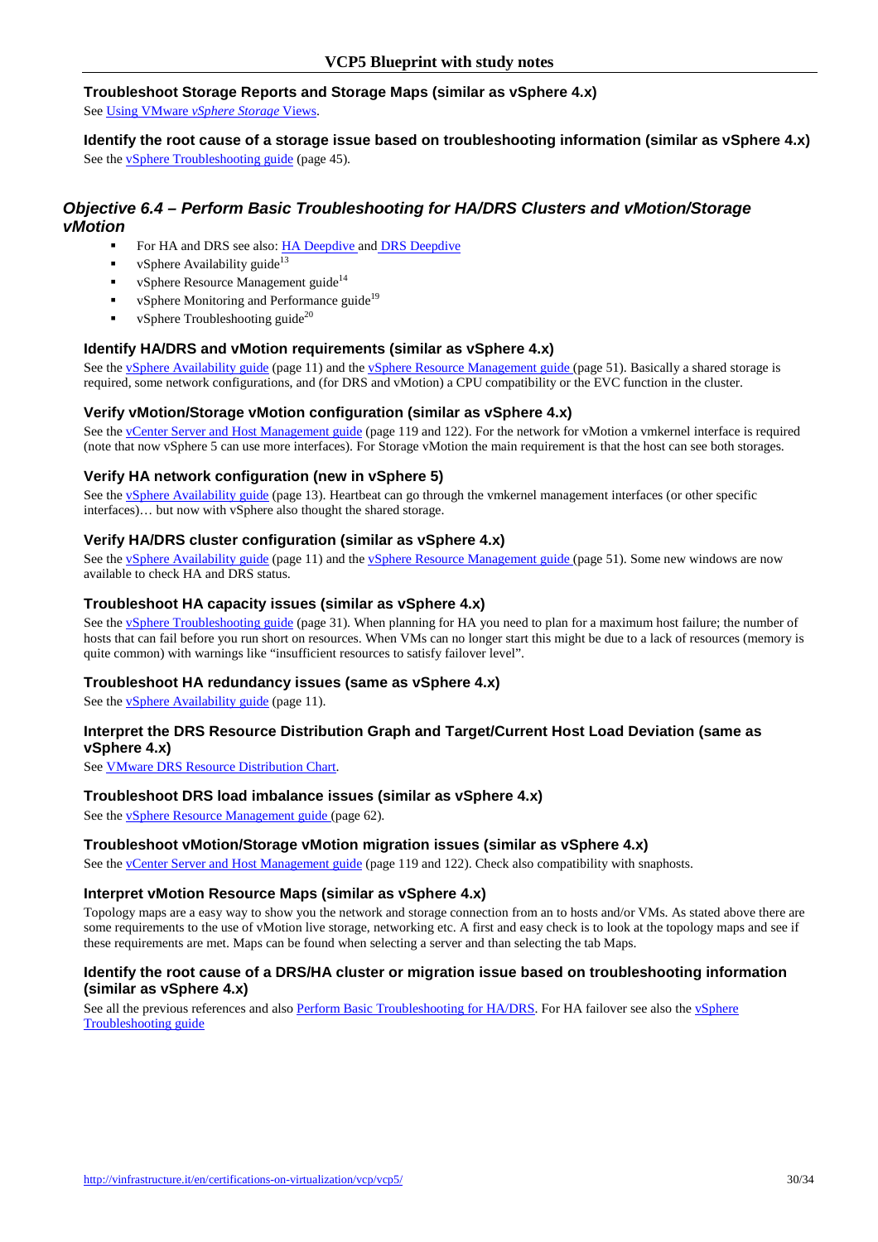## **Troubleshoot Storage Reports and Storage Maps (similar as vSphere 4.x)**

See Using VMware *vSphere Storage* Views.

**Identify the root cause of a storage issue based on troubleshooting information (similar as vSphere 4.x)**  See the vSphere Troubleshooting guide (page 45).

## **Objective 6.4 – Perform Basic Troubleshooting for HA/DRS Clusters and vMotion/Storage vMotion**

- For HA and DRS see also: **HA Deepdive and DRS Deepdive**
- vSphere Availability guide<sup>13</sup>
- vSphere Resource Management guide<sup>14</sup>
- vSphere Monitoring and Performance guide<sup>19</sup>
- vSphere Troubleshooting guide $^{20}$

### **Identify HA/DRS and vMotion requirements (similar as vSphere 4.x)**

See the vSphere Availability guide (page 11) and the vSphere Resource Management guide (page 51). Basically a shared storage is required, some network configurations, and (for DRS and vMotion) a CPU compatibility or the EVC function in the cluster.

#### **Verify vMotion/Storage vMotion configuration (similar as vSphere 4.x)**

See the vCenter Server and Host Management guide (page 119 and 122). For the network for vMotion a vmkernel interface is required (note that now vSphere 5 can use more interfaces). For Storage vMotion the main requirement is that the host can see both storages.

#### **Verify HA network configuration (new in vSphere 5)**

See the vSphere Availability guide (page 13). Heartbeat can go through the vmkernel management interfaces (or other specific interfaces)… but now with vSphere also thought the shared storage.

#### **Verify HA/DRS cluster configuration (similar as vSphere 4.x)**

See the vSphere Availability guide (page 11) and the vSphere Resource Management guide (page 51). Some new windows are now available to check HA and DRS status.

#### **Troubleshoot HA capacity issues (similar as vSphere 4.x)**

See the vSphere Troubleshooting guide (page 31). When planning for HA you need to plan for a maximum host failure; the number of hosts that can fail before you run short on resources. When VMs can no longer start this might be due to a lack of resources (memory is quite common) with warnings like "insufficient resources to satisfy failover level".

#### **Troubleshoot HA redundancy issues (same as vSphere 4.x)**

See the vSphere Availability guide (page 11).

#### **Interpret the DRS Resource Distribution Graph and Target/Current Host Load Deviation (same as vSphere 4.x)**

See VMware DRS Resource Distribution Chart.

#### **Troubleshoot DRS load imbalance issues (similar as vSphere 4.x)**

See the vSphere Resource Management guide (page 62).

#### **Troubleshoot vMotion/Storage vMotion migration issues (similar as vSphere 4.x)**

See the vCenter Server and Host Management guide (page 119 and 122). Check also compatibility with snaphosts.

#### **Interpret vMotion Resource Maps (similar as vSphere 4.x)**

Topology maps are a easy way to show you the network and storage connection from an to hosts and/or VMs. As stated above there are some requirements to the use of vMotion live storage, networking etc. A first and easy check is to look at the topology maps and see if these requirements are met. Maps can be found when selecting a server and than selecting the tab Maps.

#### **Identify the root cause of a DRS/HA cluster or migration issue based on troubleshooting information (similar as vSphere 4.x)**

See all the previous references and also Perform Basic Troubleshooting for HA/DRS. For HA failover see also the vSphere Troubleshooting guide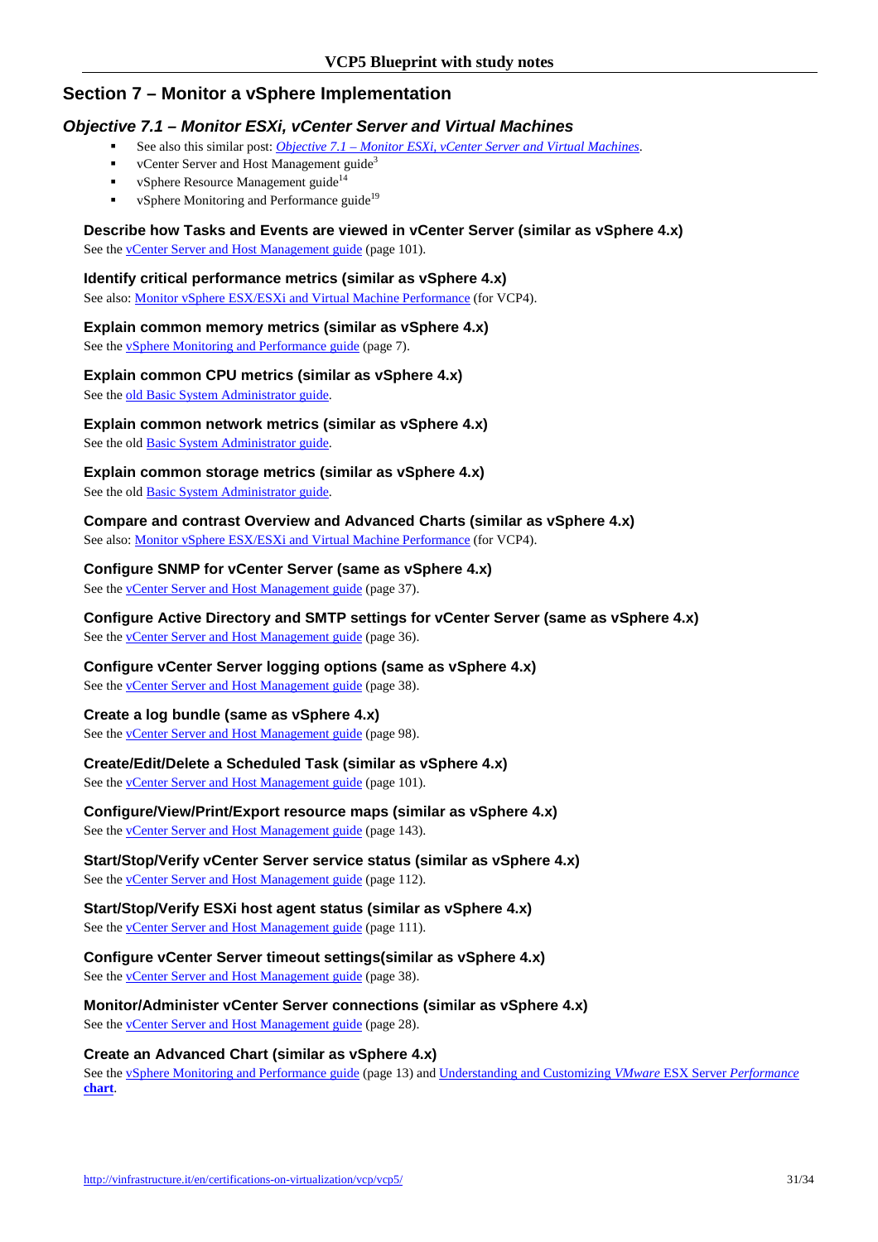# **Section 7 – Monitor a vSphere Implementation**

## **Objective 7.1 – Monitor ESXi, vCenter Server and Virtual Machines**

- See also this similar post: *Objective 7.1 Monitor ESXi, vCenter Server and Virtual Machines*.
	- vCenter Server and Host Management guide<sup>3</sup>
- vSphere Resource Management guide<sup>14</sup>
- vSphere Monitoring and Performance guide<sup>19</sup>

### **Describe how Tasks and Events are viewed in vCenter Server (similar as vSphere 4.x)**

See the **vCenter Server and Host Management guide** (page 101).

## **Identify critical performance metrics (similar as vSphere 4.x)**

See also: Monitor vSphere ESX/ESXi and Virtual Machine Performance (for VCP4).

## **Explain common memory metrics (similar as vSphere 4.x)**

See the vSphere Monitoring and Performance guide (page 7).

## **Explain common CPU metrics (similar as vSphere 4.x)**

See the old Basic System Administrator guide.

## **Explain common network metrics (similar as vSphere 4.x)**

See the old Basic System Administrator guide.

## **Explain common storage metrics (similar as vSphere 4.x)**

See the old **Basic System Administrator guide**.

#### **Compare and contrast Overview and Advanced Charts (similar as vSphere 4.x)**  See also: Monitor vSphere ESX/ESXi and Virtual Machine Performance (for VCP4).

# **Configure SNMP for vCenter Server (same as vSphere 4.x)**

See the vCenter Server and Host Management guide (page 37).

# **Configure Active Directory and SMTP settings for vCenter Server (same as vSphere 4.x)**

See the <u>vCenter Server and Host Management guide</u> (page 36).

## **Configure vCenter Server logging options (same as vSphere 4.x)**

See the **vCenter Server and Host Management guide** (page 38).

## **Create a log bundle (same as vSphere 4.x)**

See the **vCenter Server and Host Management guide** (page 98).

## **Create/Edit/Delete a Scheduled Task (similar as vSphere 4.x)**

See the **vCenter Server and Host Management guide** (page 101).

# **Configure/View/Print/Export resource maps (similar as vSphere 4.x)**

See the vCenter Server and Host Management guide (page 143).

# **Start/Stop/Verify vCenter Server service status (similar as vSphere 4.x)**

See the **vCenter Server and Host Management guide** (page 112).

#### **Start/Stop/Verify ESXi host agent status (similar as vSphere 4.x)**  See the vCenter Server and Host Management guide (page 111).

**Configure vCenter Server timeout settings(similar as vSphere 4.x)**  See the *vCenter Server and Host Management guide* (page 38).

**Monitor/Administer vCenter Server connections (similar as vSphere 4.x)**  See the **vCenter Server and Host Management guide** (page 28).

## **Create an Advanced Chart (similar as vSphere 4.x)**

See the vSphere Monitoring and Performance guide (page 13) and Understanding and Customizing *VMware* ESX Server *Performance* **chart**.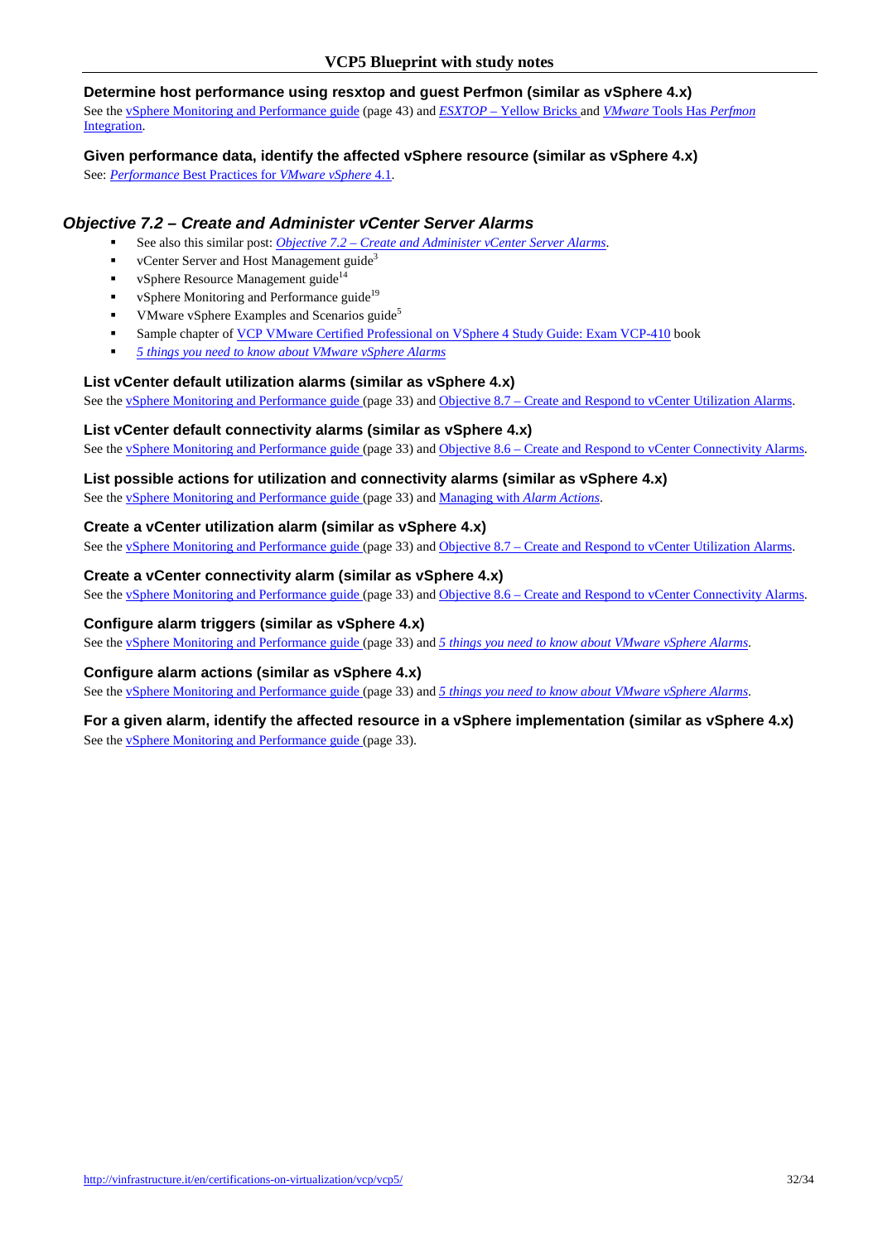## **Determine host performance using resxtop and guest Perfmon (similar as vSphere 4.x)**

See the vSphere Monitoring and Performance guide (page 43) and *ESXTOP* – Yellow Bricks and *VMware* Tools Has *Perfmon* Integration.

## **Given performance data, identify the affected vSphere resource (similar as vSphere 4.x)**

See: *Performance* Best Practices for *VMware vSphere* 4.1.

# **Objective 7.2 – Create and Administer vCenter Server Alarms**

- See also this similar post: *Objective 7.2 Create and Administer vCenter Server Alarms*.
- vCenter Server and Host Management guide<sup>3</sup>
- vSphere Resource Management guide<sup>14</sup>
- vSphere Monitoring and Performance guide<sup>19</sup>
- VMware vSphere Examples and Scenarios guide<sup>5</sup>
- Sample chapter of VCP VMware Certified Professional on VSphere 4 Study Guide: Exam VCP-410 book
- *5 things you need to know about VMware vSphere Alarms*

## **List vCenter default utilization alarms (similar as vSphere 4.x)**

See the <u>vSphere Monitoring and Performance guide</u> (page 33) and Objective 8.7 – Create and Respond to vCenter Utilization Alarms.

## **List vCenter default connectivity alarms (similar as vSphere 4.x)**

See the vSphere Monitoring and Performance guide (page 33) and Objective 8.6 – Create and Respond to vCenter Connectivity Alarms.

## **List possible actions for utilization and connectivity alarms (similar as vSphere 4.x)**

See the vSphere Monitoring and Performance guide (page 33) and Managing with *Alarm Actions*.

## **Create a vCenter utilization alarm (similar as vSphere 4.x)**

See the vSphere Monitoring and Performance guide (page 33) and Objective 8.7 – Create and Respond to vCenter Utilization Alarms.

## **Create a vCenter connectivity alarm (similar as vSphere 4.x)**

See the <u>vSphere Monitoring and Performance guide</u> (page 33) and Objective 8.6 – Create and Respond to vCenter Connectivity Alarms.

#### **Configure alarm triggers (similar as vSphere 4.x)**

See the vSphere Monitoring and Performance guide (page 33) and *5 things you need to know about VMware vSphere Alarms*.

#### **Configure alarm actions (similar as vSphere 4.x)**

See the vSphere Monitoring and Performance guide (page 33) and *5 things you need to know about VMware vSphere Alarms*.

### **For a given alarm, identify the affected resource in a vSphere implementation (similar as vSphere 4.x)** See the vSphere Monitoring and Performance guide (page 33).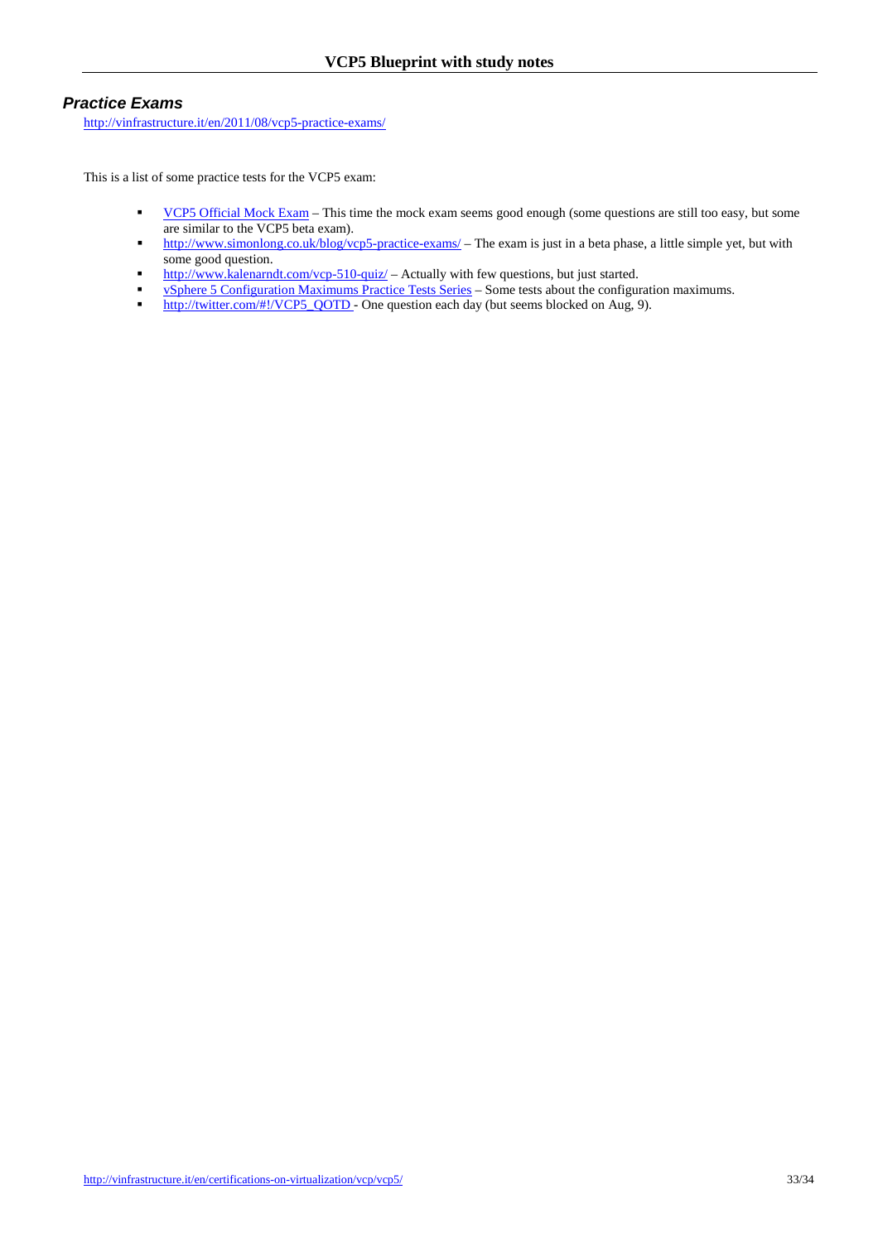## **Practice Exams**

http://vinfrastructure.it/en/2011/08/vcp5-practice-exams/

This is a list of some practice tests for the VCP5 exam:

- VCP5 Official Mock Exam This time the mock exam seems good enough (some questions are still too easy, but some are similar to the VCP5 beta exam).
- http://www.simonlong.co.uk/blog/vcp5-practice-exams/ The exam is just in a beta phase, a little simple yet, but with some good question.
- http://www.kalenarndt.com/vcp-510-quiz/ Actually with few questions, but just started.
- vSphere 5 Configuration Maximums Practice Tests Series Some tests about the configuration maximums.
- http://twitter.com/#!/VCP5\_QOTD One question each day (but seems blocked on Aug, 9).